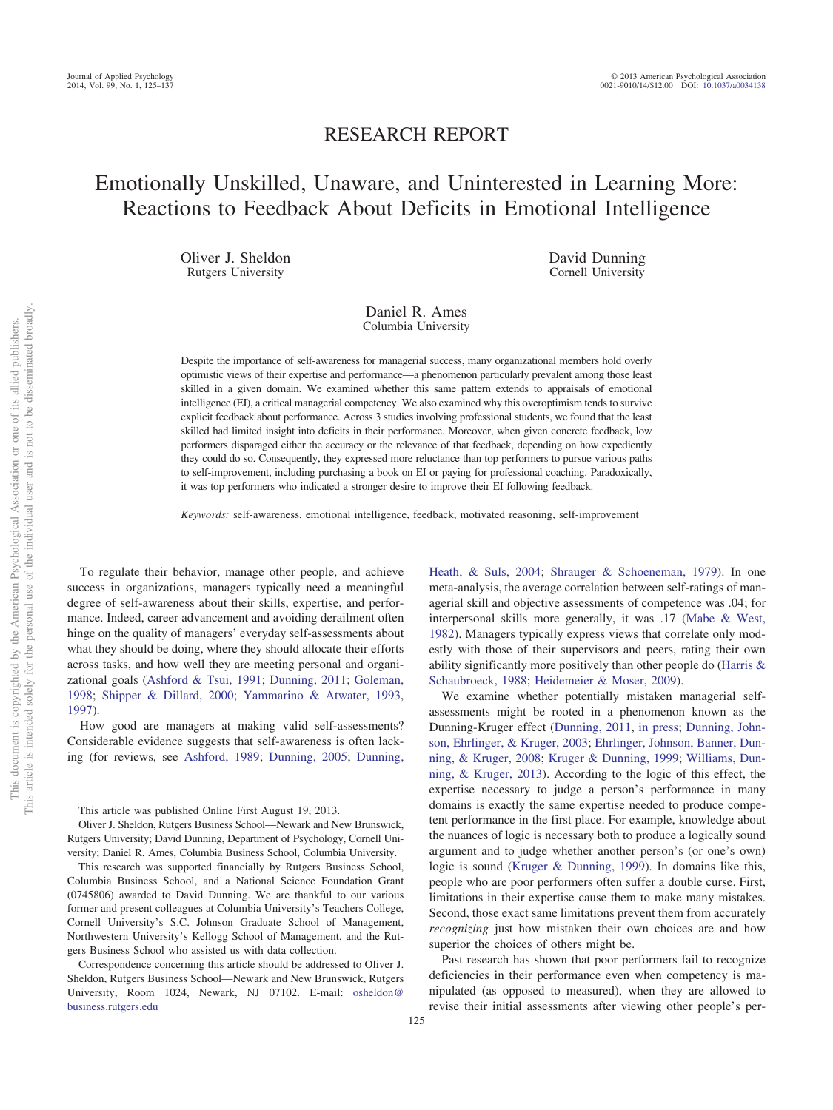# RESEARCH REPORT

# Emotionally Unskilled, Unaware, and Uninterested in Learning More: Reactions to Feedback About Deficits in Emotional Intelligence

Oliver J. Sheldon Rutgers University

David Dunning Cornell University

# Daniel R. Ames Columbia University

Despite the importance of self-awareness for managerial success, many organizational members hold overly optimistic views of their expertise and performance—a phenomenon particularly prevalent among those least skilled in a given domain. We examined whether this same pattern extends to appraisals of emotional intelligence (EI), a critical managerial competency. We also examined why this overoptimism tends to survive explicit feedback about performance. Across 3 studies involving professional students, we found that the least skilled had limited insight into deficits in their performance. Moreover, when given concrete feedback, low performers disparaged either the accuracy or the relevance of that feedback, depending on how expediently they could do so. Consequently, they expressed more reluctance than top performers to pursue various paths to self-improvement, including purchasing a book on EI or paying for professional coaching. Paradoxically, it was top performers who indicated a stronger desire to improve their EI following feedback.

*Keywords:* self-awareness, emotional intelligence, feedback, motivated reasoning, self-improvement

To regulate their behavior, manage other people, and achieve success in organizations, managers typically need a meaningful degree of self-awareness about their skills, expertise, and performance. Indeed, career advancement and avoiding derailment often hinge on the quality of managers' everyday self-assessments about what they should be doing, where they should allocate their efforts across tasks, and how well they are meeting personal and organizational goals [\(Ashford & Tsui, 1991;](#page-10-0) [Dunning, 2011;](#page-10-1) [Goleman,](#page-11-0) [1998;](#page-11-0) [Shipper & Dillard, 2000;](#page-12-0) [Yammarino & Atwater, 1993,](#page-12-1) [1997\)](#page-12-2).

How good are managers at making valid self-assessments? Considerable evidence suggests that self-awareness is often lacking (for reviews, see [Ashford, 1989;](#page-10-2) [Dunning, 2005;](#page-10-3) [Dunning,](#page-11-1) [Heath, & Suls, 2004;](#page-11-1) [Shrauger & Schoeneman, 1979\)](#page-12-3). In one meta-analysis, the average correlation between self-ratings of managerial skill and objective assessments of competence was .04; for interpersonal skills more generally, it was .17 [\(Mabe & West,](#page-11-2) [1982\)](#page-11-2). Managers typically express views that correlate only modestly with those of their supervisors and peers, rating their own ability significantly more positively than other people do [\(Harris &](#page-11-3) [Schaubroeck, 1988;](#page-11-3) [Heidemeier & Moser, 2009\)](#page-11-4).

We examine whether potentially mistaken managerial selfassessments might be rooted in a phenomenon known as the Dunning-Kruger effect [\(Dunning, 2011,](#page-10-1) [in press;](#page-11-5) [Dunning, John](#page-11-6)[son, Ehrlinger, & Kruger, 2003;](#page-11-6) [Ehrlinger, Johnson, Banner, Dun](#page-11-7)[ning, & Kruger, 2008;](#page-11-7) [Kruger & Dunning, 1999;](#page-11-8) [Williams, Dun](#page-12-4)[ning, & Kruger, 2013\)](#page-12-4). According to the logic of this effect, the expertise necessary to judge a person's performance in many domains is exactly the same expertise needed to produce competent performance in the first place. For example, knowledge about the nuances of logic is necessary both to produce a logically sound argument and to judge whether another person's (or one's own) logic is sound [\(Kruger & Dunning, 1999\)](#page-11-8). In domains like this, people who are poor performers often suffer a double curse. First, limitations in their expertise cause them to make many mistakes. Second, those exact same limitations prevent them from accurately *recognizing* just how mistaken their own choices are and how superior the choices of others might be.

Past research has shown that poor performers fail to recognize deficiencies in their performance even when competency is manipulated (as opposed to measured), when they are allowed to revise their initial assessments after viewing other people's per-

This article was published Online First August 19, 2013.

Oliver J. Sheldon, Rutgers Business School—Newark and New Brunswick, Rutgers University; David Dunning, Department of Psychology, Cornell University; Daniel R. Ames, Columbia Business School, Columbia University.

This research was supported financially by Rutgers Business School, Columbia Business School, and a National Science Foundation Grant (0745806) awarded to David Dunning. We are thankful to our various former and present colleagues at Columbia University's Teachers College, Cornell University's S.C. Johnson Graduate School of Management, Northwestern University's Kellogg School of Management, and the Rutgers Business School who assisted us with data collection.

Correspondence concerning this article should be addressed to Oliver J. Sheldon, Rutgers Business School—Newark and New Brunswick, Rutgers University, Room 1024, Newark, NJ 07102. E-mail: [osheldon@](mailto:osheldon@business.rutgers.edu) [business.rutgers.edu](mailto:osheldon@business.rutgers.edu)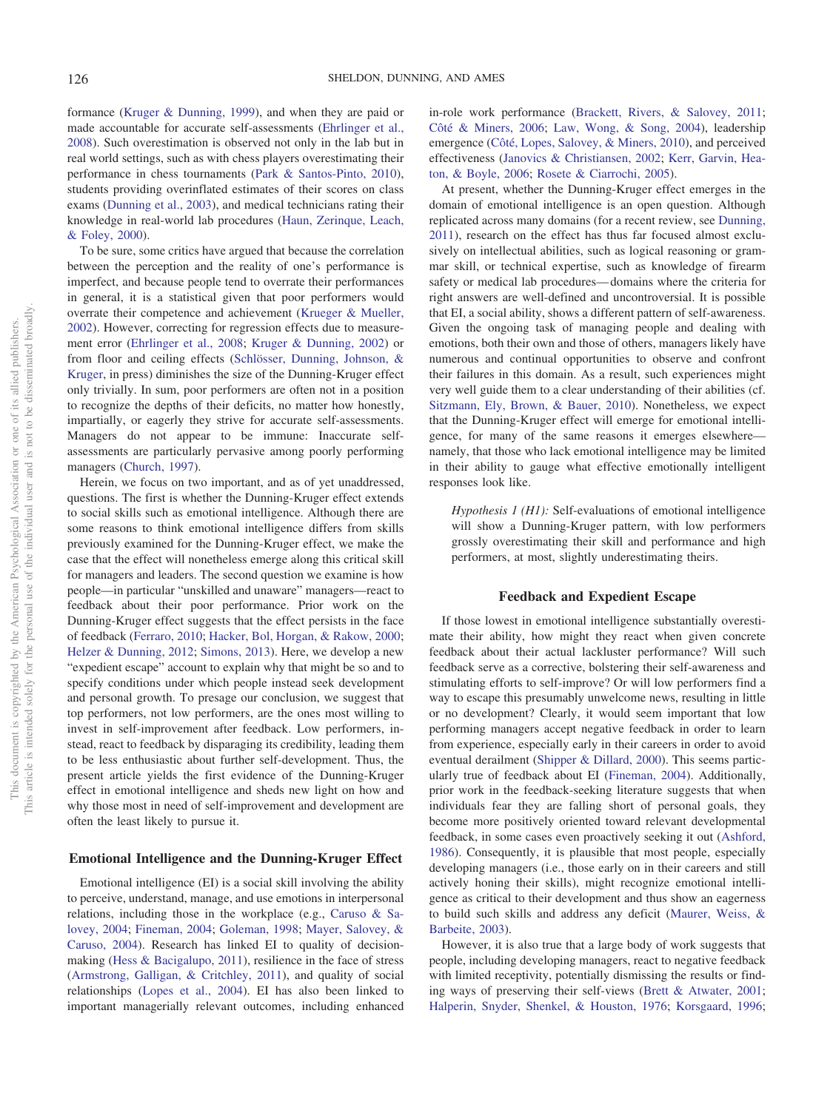formance [\(Kruger & Dunning, 1999\)](#page-11-8), and when they are paid or made accountable for accurate self-assessments [\(Ehrlinger et al.,](#page-11-7) [2008\)](#page-11-7). Such overestimation is observed not only in the lab but in real world settings, such as with chess players overestimating their performance in chess tournaments [\(Park & Santos-Pinto, 2010\)](#page-12-5), students providing overinflated estimates of their scores on class exams [\(Dunning et al., 2003\)](#page-11-6), and medical technicians rating their knowledge in real-world lab procedures [\(Haun, Zerinque, Leach,](#page-11-9) [& Foley, 2000\)](#page-11-9).

To be sure, some critics have argued that because the correlation between the perception and the reality of one's performance is imperfect, and because people tend to overrate their performances in general, it is a statistical given that poor performers would overrate their competence and achievement [\(Krueger & Mueller,](#page-11-10) [2002\)](#page-11-10). However, correcting for regression effects due to measurement error [\(Ehrlinger et al., 2008;](#page-11-7) [Kruger & Dunning, 2002\)](#page-11-11) or from floor and ceiling effects [\(Schlösser, Dunning, Johnson, &](#page-12-6) [Kruger,](#page-12-6) in press) diminishes the size of the Dunning-Kruger effect only trivially. In sum, poor performers are often not in a position to recognize the depths of their deficits, no matter how honestly, impartially, or eagerly they strive for accurate self-assessments. Managers do not appear to be immune: Inaccurate selfassessments are particularly pervasive among poorly performing managers [\(Church, 1997\)](#page-10-4).

Herein, we focus on two important, and as of yet unaddressed, questions. The first is whether the Dunning-Kruger effect extends to social skills such as emotional intelligence. Although there are some reasons to think emotional intelligence differs from skills previously examined for the Dunning-Kruger effect, we make the case that the effect will nonetheless emerge along this critical skill for managers and leaders. The second question we examine is how people—in particular "unskilled and unaware" managers—react to feedback about their poor performance. Prior work on the Dunning-Kruger effect suggests that the effect persists in the face of feedback [\(Ferraro, 2010;](#page-11-12) [Hacker, Bol, Horgan, & Rakow, 2000;](#page-11-13) [Helzer & Dunning, 2012;](#page-11-14) [Simons, 2013\)](#page-12-7). Here, we develop a new "expedient escape" account to explain why that might be so and to specify conditions under which people instead seek development and personal growth. To presage our conclusion, we suggest that top performers, not low performers, are the ones most willing to invest in self-improvement after feedback. Low performers, instead, react to feedback by disparaging its credibility, leading them to be less enthusiastic about further self-development. Thus, the present article yields the first evidence of the Dunning-Kruger effect in emotional intelligence and sheds new light on how and why those most in need of self-improvement and development are often the least likely to pursue it.

# **Emotional Intelligence and the Dunning-Kruger Effect**

Emotional intelligence (EI) is a social skill involving the ability to perceive, understand, manage, and use emotions in interpersonal relations, including those in the workplace (e.g., [Caruso & Sa](#page-10-5)[lovey, 2004;](#page-10-5) [Fineman, 2004;](#page-11-15) [Goleman, 1998;](#page-11-0) [Mayer, Salovey, &](#page-11-16) [Caruso, 2004\)](#page-11-16). Research has linked EI to quality of decisionmaking [\(Hess & Bacigalupo, 2011\)](#page-11-17), resilience in the face of stress [\(Armstrong, Galligan, & Critchley, 2011\)](#page-10-6), and quality of social relationships [\(Lopes et al., 2004\)](#page-11-18). EI has also been linked to important managerially relevant outcomes, including enhanced

in-role work performance [\(Brackett, Rivers, & Salovey, 2011;](#page-10-7) [Côté & Miners, 2006;](#page-10-8) [Law, Wong, & Song, 2004\)](#page-11-19), leadership emergence [\(Côté, Lopes, Salovey, & Miners, 2010\)](#page-10-9), and perceived effectiveness [\(Janovics & Christiansen, 2002;](#page-11-20) [Kerr, Garvin, Hea](#page-11-21)[ton, & Boyle, 2006;](#page-11-21) [Rosete & Ciarrochi, 2005\)](#page-12-8).

At present, whether the Dunning-Kruger effect emerges in the domain of emotional intelligence is an open question. Although replicated across many domains (for a recent review, see [Dunning,](#page-10-1) [2011\)](#page-10-1), research on the effect has thus far focused almost exclusively on intellectual abilities, such as logical reasoning or grammar skill, or technical expertise, such as knowledge of firearm safety or medical lab procedures— domains where the criteria for right answers are well-defined and uncontroversial. It is possible that EI, a social ability, shows a different pattern of self-awareness. Given the ongoing task of managing people and dealing with emotions, both their own and those of others, managers likely have numerous and continual opportunities to observe and confront their failures in this domain. As a result, such experiences might very well guide them to a clear understanding of their abilities (cf. [Sitzmann, Ely, Brown, & Bauer, 2010\)](#page-12-9). Nonetheless, we expect that the Dunning-Kruger effect will emerge for emotional intelligence, for many of the same reasons it emerges elsewhere namely, that those who lack emotional intelligence may be limited in their ability to gauge what effective emotionally intelligent responses look like.

*Hypothesis 1 (H1):* Self-evaluations of emotional intelligence will show a Dunning-Kruger pattern, with low performers grossly overestimating their skill and performance and high performers, at most, slightly underestimating theirs.

# **Feedback and Expedient Escape**

If those lowest in emotional intelligence substantially overestimate their ability, how might they react when given concrete feedback about their actual lackluster performance? Will such feedback serve as a corrective, bolstering their self-awareness and stimulating efforts to self-improve? Or will low performers find a way to escape this presumably unwelcome news, resulting in little or no development? Clearly, it would seem important that low performing managers accept negative feedback in order to learn from experience, especially early in their careers in order to avoid eventual derailment [\(Shipper & Dillard, 2000\)](#page-12-0). This seems particularly true of feedback about EI [\(Fineman, 2004\)](#page-11-15). Additionally, prior work in the feedback-seeking literature suggests that when individuals fear they are falling short of personal goals, they become more positively oriented toward relevant developmental feedback, in some cases even proactively seeking it out [\(Ashford,](#page-10-10) [1986\)](#page-10-10). Consequently, it is plausible that most people, especially developing managers (i.e., those early on in their careers and still actively honing their skills), might recognize emotional intelligence as critical to their development and thus show an eagerness to build such skills and address any deficit [\(Maurer, Weiss, &](#page-11-22) [Barbeite, 2003\)](#page-11-22).

However, it is also true that a large body of work suggests that people, including developing managers, react to negative feedback with limited receptivity, potentially dismissing the results or finding ways of preserving their self-views [\(Brett & Atwater, 2001;](#page-10-11) [Halperin, Snyder, Shenkel, & Houston, 1976;](#page-11-23) [Korsgaard, 1996;](#page-11-24)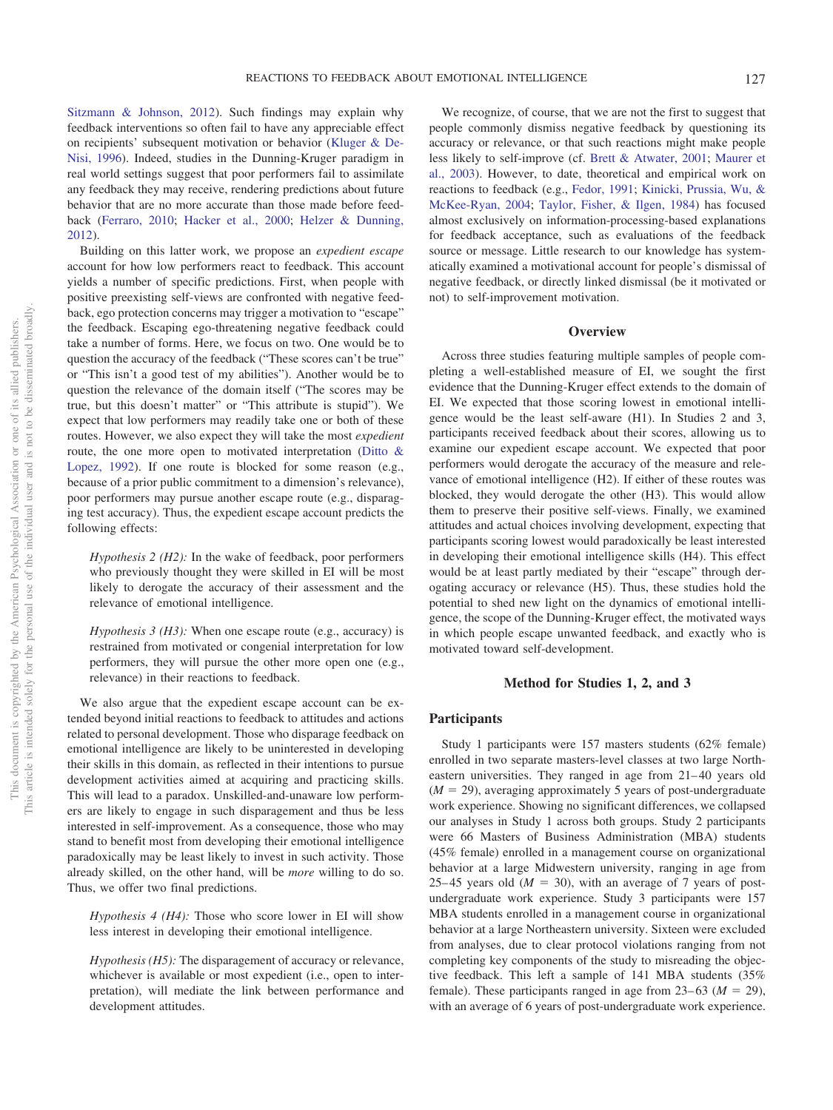[Sitzmann & Johnson, 2012\)](#page-12-10). Such findings may explain why feedback interventions so often fail to have any appreciable effect on recipients' subsequent motivation or behavior [\(Kluger & De-](#page-11-25)[Nisi, 1996\)](#page-11-25). Indeed, studies in the Dunning-Kruger paradigm in real world settings suggest that poor performers fail to assimilate any feedback they may receive, rendering predictions about future behavior that are no more accurate than those made before feedback [\(Ferraro, 2010;](#page-11-12) [Hacker et al., 2000;](#page-11-13) [Helzer & Dunning,](#page-11-14) [2012\)](#page-11-14).

Building on this latter work, we propose an *expedient escape* account for how low performers react to feedback. This account yields a number of specific predictions. First, when people with positive preexisting self-views are confronted with negative feedback, ego protection concerns may trigger a motivation to "escape" the feedback. Escaping ego-threatening negative feedback could take a number of forms. Here, we focus on two. One would be to question the accuracy of the feedback ("These scores can't be true" or "This isn't a good test of my abilities"). Another would be to question the relevance of the domain itself ("The scores may be true, but this doesn't matter" or "This attribute is stupid"). We expect that low performers may readily take one or both of these routes. However, we also expect they will take the most *expedient* route, the one more open to motivated interpretation [\(Ditto &](#page-10-12) [Lopez, 1992\)](#page-10-12). If one route is blocked for some reason (e.g., because of a prior public commitment to a dimension's relevance), poor performers may pursue another escape route (e.g., disparaging test accuracy). Thus, the expedient escape account predicts the following effects:

*Hypothesis 2 (H2):* In the wake of feedback, poor performers who previously thought they were skilled in EI will be most likely to derogate the accuracy of their assessment and the relevance of emotional intelligence.

*Hypothesis 3 (H3):* When one escape route (e.g., accuracy) is restrained from motivated or congenial interpretation for low performers, they will pursue the other more open one (e.g., relevance) in their reactions to feedback.

We also argue that the expedient escape account can be extended beyond initial reactions to feedback to attitudes and actions related to personal development. Those who disparage feedback on emotional intelligence are likely to be uninterested in developing their skills in this domain, as reflected in their intentions to pursue development activities aimed at acquiring and practicing skills. This will lead to a paradox. Unskilled-and-unaware low performers are likely to engage in such disparagement and thus be less interested in self-improvement. As a consequence, those who may stand to benefit most from developing their emotional intelligence paradoxically may be least likely to invest in such activity. Those already skilled, on the other hand, will be *more* willing to do so. Thus, we offer two final predictions.

*Hypothesis 4 (H4):* Those who score lower in EI will show less interest in developing their emotional intelligence.

*Hypothesis (H5):* The disparagement of accuracy or relevance, whichever is available or most expedient (i.e., open to interpretation), will mediate the link between performance and development attitudes.

We recognize, of course, that we are not the first to suggest that people commonly dismiss negative feedback by questioning its accuracy or relevance, or that such reactions might make people less likely to self-improve (cf. [Brett & Atwater, 2001;](#page-10-11) [Maurer et](#page-11-22) [al., 2003\)](#page-11-22). However, to date, theoretical and empirical work on reactions to feedback (e.g., [Fedor, 1991;](#page-11-26) [Kinicki, Prussia, Wu, &](#page-11-27) [McKee-Ryan, 2004;](#page-11-27) [Taylor, Fisher, & Ilgen, 1984\)](#page-12-11) has focused almost exclusively on information-processing-based explanations for feedback acceptance, such as evaluations of the feedback source or message. Little research to our knowledge has systematically examined a motivational account for people's dismissal of negative feedback, or directly linked dismissal (be it motivated or not) to self-improvement motivation.

## **Overview**

Across three studies featuring multiple samples of people completing a well-established measure of EI, we sought the first evidence that the Dunning-Kruger effect extends to the domain of EI. We expected that those scoring lowest in emotional intelligence would be the least self-aware (H1). In Studies 2 and 3, participants received feedback about their scores, allowing us to examine our expedient escape account. We expected that poor performers would derogate the accuracy of the measure and relevance of emotional intelligence (H2). If either of these routes was blocked, they would derogate the other (H3). This would allow them to preserve their positive self-views. Finally, we examined attitudes and actual choices involving development, expecting that participants scoring lowest would paradoxically be least interested in developing their emotional intelligence skills (H4). This effect would be at least partly mediated by their "escape" through derogating accuracy or relevance (H5). Thus, these studies hold the potential to shed new light on the dynamics of emotional intelligence, the scope of the Dunning-Kruger effect, the motivated ways in which people escape unwanted feedback, and exactly who is motivated toward self-development.

# **Method for Studies 1, 2, and 3**

# **Participants**

Study 1 participants were 157 masters students (62% female) enrolled in two separate masters-level classes at two large Northeastern universities. They ranged in age from 21–40 years old  $(M = 29)$ , averaging approximately 5 years of post-undergraduate work experience. Showing no significant differences, we collapsed our analyses in Study 1 across both groups. Study 2 participants were 66 Masters of Business Administration (MBA) students (45% female) enrolled in a management course on organizational behavior at a large Midwestern university, ranging in age from 25–45 years old  $(M = 30)$ , with an average of 7 years of postundergraduate work experience. Study 3 participants were 157 MBA students enrolled in a management course in organizational behavior at a large Northeastern university. Sixteen were excluded from analyses, due to clear protocol violations ranging from not completing key components of the study to misreading the objective feedback. This left a sample of 141 MBA students (35% female). These participants ranged in age from  $23-63$  ( $M = 29$ ), with an average of 6 years of post-undergraduate work experience.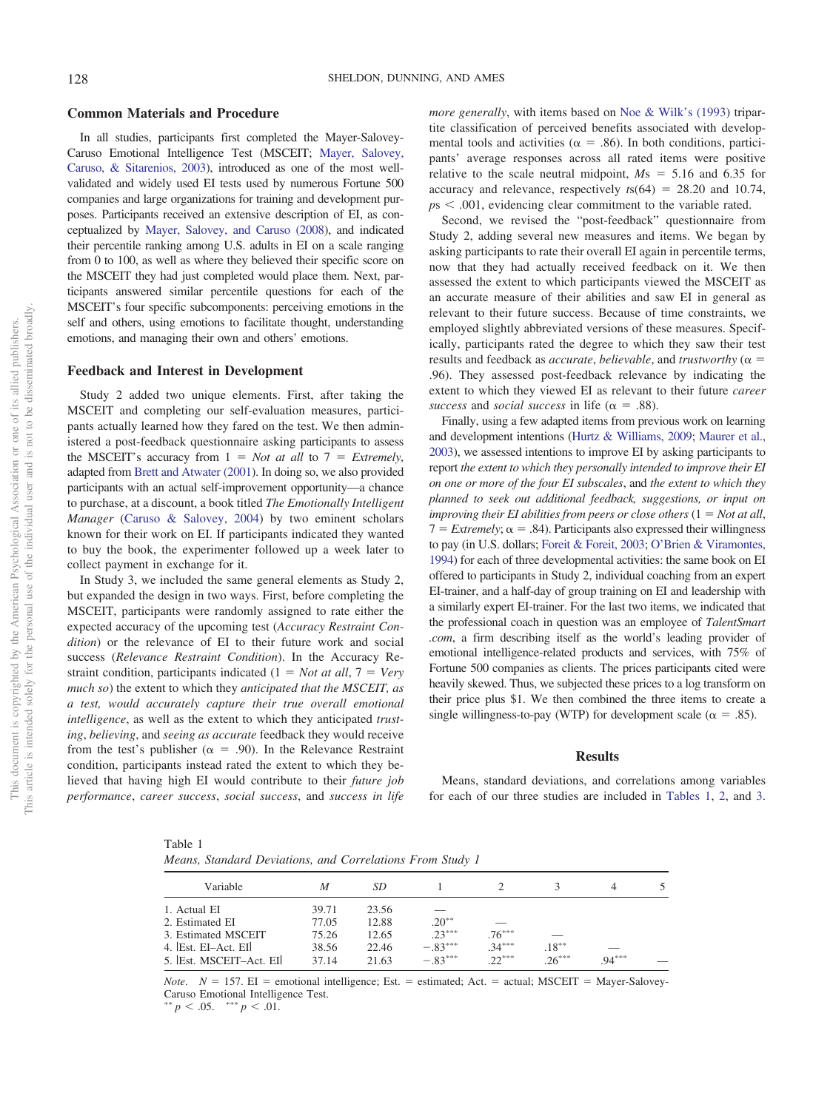# **Common Materials and Procedure**

In all studies, participants first completed the Mayer-Salovey-Caruso Emotional Intelligence Test (MSCEIT; [Mayer, Salovey,](#page-11-28) [Caruso, & Sitarenios, 2003\)](#page-11-28), introduced as one of the most wellvalidated and widely used EI tests used by numerous Fortune 500 companies and large organizations for training and development purposes. Participants received an extensive description of EI, as conceptualized by [Mayer, Salovey, and Caruso \(2008\)](#page-11-29), and indicated their percentile ranking among U.S. adults in EI on a scale ranging from 0 to 100, as well as where they believed their specific score on the MSCEIT they had just completed would place them. Next, participants answered similar percentile questions for each of the MSCEIT's four specific subcomponents: perceiving emotions in the self and others, using emotions to facilitate thought, understanding emotions, and managing their own and others' emotions.

# **Feedback and Interest in Development**

Study 2 added two unique elements. First, after taking the MSCEIT and completing our self-evaluation measures, participants actually learned how they fared on the test. We then administered a post-feedback questionnaire asking participants to assess the MSCEIT's accuracy from  $1 = Not$  *at all* to  $7 = Extremely$ , adapted from [Brett and Atwater \(2001\)](#page-10-11). In doing so, we also provided participants with an actual self-improvement opportunity—a chance to purchase, at a discount, a book titled *The Emotionally Intelligent Manager* [\(Caruso & Salovey, 2004\)](#page-10-5) by two eminent scholars known for their work on EI. If participants indicated they wanted to buy the book, the experimenter followed up a week later to collect payment in exchange for it.

In Study 3, we included the same general elements as Study 2, but expanded the design in two ways. First, before completing the MSCEIT, participants were randomly assigned to rate either the expected accuracy of the upcoming test (*Accuracy Restraint Condition*) or the relevance of EI to their future work and social success (*Relevance Restraint Condition*). In the Accuracy Restraint condition, participants indicated  $(1 = Not at all, 7 = Very)$ *much so*) the extent to which they *anticipated that the MSCEIT, as a test, would accurately capture their true overall emotional intelligence*, as well as the extent to which they anticipated *trusting*, *believing*, and *seeing as accurate* feedback they would receive from the test's publisher ( $\alpha = .90$ ). In the Relevance Restraint condition, participants instead rated the extent to which they believed that having high EI would contribute to their *future job performance*, *career success*, *social success*, and *success in life* *more generally*, with items based on [Noe & Wilk's \(1993\)](#page-11-30) tripartite classification of perceived benefits associated with developmental tools and activities ( $\alpha = .86$ ). In both conditions, participants' average responses across all rated items were positive relative to the scale neutral midpoint,  $M_s = 5.16$  and 6.35 for accuracy and relevance, respectively  $t s(64) = 28.20$  and 10.74,  $p<sub>s</sub> < .001$ , evidencing clear commitment to the variable rated.

Second, we revised the "post-feedback" questionnaire from Study 2, adding several new measures and items. We began by asking participants to rate their overall EI again in percentile terms, now that they had actually received feedback on it. We then assessed the extent to which participants viewed the MSCEIT as an accurate measure of their abilities and saw EI in general as relevant to their future success. Because of time constraints, we employed slightly abbreviated versions of these measures. Specifically, participants rated the degree to which they saw their test results and feedback as *accurate*, *believable*, and *trustworthy* ( $\alpha$  = .96). They assessed post-feedback relevance by indicating the extent to which they viewed EI as relevant to their future *career success* and *social success* in life ( $\alpha = .88$ ).

Finally, using a few adapted items from previous work on learning and development intentions [\(Hurtz & Williams, 2009;](#page-11-31) [Maurer et al.,](#page-11-22) [2003\)](#page-11-22), we assessed intentions to improve EI by asking participants to report *the extent to which they personally intended to improve their EI on one or more of the four EI subscales*, and *the extent to which they planned to seek out additional feedback, suggestions, or input on improving their EI abilities from peers or close others*  $(1 = Not at all,$  $7 = \text{Extremely}$ ;  $\alpha = .84$ ). Participants also expressed their willingness to pay (in U.S. dollars; [Foreit & Foreit, 2003;](#page-11-32) [O'Brien & Viramontes,](#page-12-12) [1994\)](#page-12-12) for each of three developmental activities: the same book on EI offered to participants in Study 2, individual coaching from an expert EI-trainer, and a half-day of group training on EI and leadership with a similarly expert EI-trainer. For the last two items, we indicated that the professional coach in question was an employee of *TalentSmart .com*, a firm describing itself as the world's leading provider of emotional intelligence-related products and services, with 75% of Fortune 500 companies as clients. The prices participants cited were heavily skewed. Thus, we subjected these prices to a log transform on their price plus \$1. We then combined the three items to create a single willingness-to-pay (WTP) for development scale ( $\alpha = .85$ ).

### **Results**

Means, standard deviations, and correlations among variables for each of our three studies are included in [Tables 1,](#page-3-0) [2,](#page-4-0) and [3.](#page-5-0)

<span id="page-3-0"></span>

| Table 1 |  |                                                           |  |  |
|---------|--|-----------------------------------------------------------|--|--|
|         |  | Means, Standard Deviations, and Correlations From Study 1 |  |  |

| Variable               | M     | SD    |           |          |          |          |  |
|------------------------|-------|-------|-----------|----------|----------|----------|--|
| 1. Actual EI           | 39.71 | 23.56 |           |          |          |          |  |
| 2. Estimated EI        | 77.05 | 12.88 | $.20***$  |          |          |          |  |
| 3. Estimated MSCEIT    | 75.26 | 12.65 | $.23***$  | $.76***$ |          |          |  |
| 4. Est. EI-Act. EI     | 38.56 | 22.46 | $-.83***$ | $.34***$ | $.18***$ |          |  |
| 5. Est. MSCEIT-Act. EI | 37.14 | 21.63 | $-.83***$ | $22***$  | $.26***$ | $.94***$ |  |

*Note.*  $N = 157$ . EI = emotional intelligence; Est. = estimated; Act. = actual; MSCEIT = Mayer-Salovey-Caruso Emotional Intelligence Test.

 $p < .05.$  \*\*\*  $p < .01.$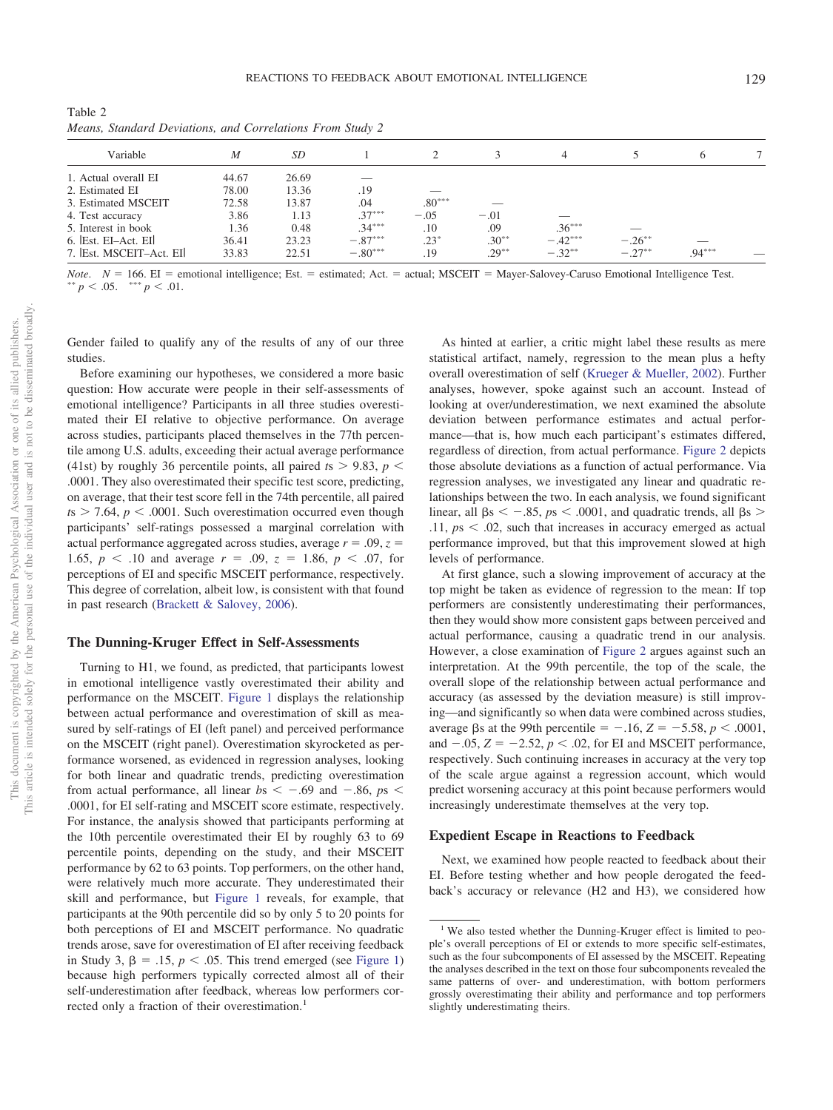<span id="page-4-0"></span>

| Table 2 |  |                                                           |  |  |
|---------|--|-----------------------------------------------------------|--|--|
|         |  | Means, Standard Deviations, and Correlations From Study 2 |  |  |

| means, shanaara Devianons, ana Correlations I folli shaav 2 |       |       |           |          |          |           |           |              |  |  |  |  |
|-------------------------------------------------------------|-------|-------|-----------|----------|----------|-----------|-----------|--------------|--|--|--|--|
| Variable                                                    | M     | SD    |           |          |          |           |           | <sub>(</sub> |  |  |  |  |
| 1. Actual overall EI                                        | 44.67 | 26.69 |           |          |          |           |           |              |  |  |  |  |
| 2. Estimated EI                                             | 78.00 | 13.36 | .19       |          |          |           |           |              |  |  |  |  |
| 3. Estimated MSCEIT                                         | 72.58 | 13.87 | .04       | $.80***$ |          |           |           |              |  |  |  |  |
| 4. Test accuracy                                            | 3.86  | 1.13  | $.37***$  | $-.05$   | $-.01$   |           |           |              |  |  |  |  |
| 5. Interest in book                                         | 1.36  | 0.48  | $.34***$  | .10      | .09      | $.36***$  |           |              |  |  |  |  |
| 6. Est. EI–Act. EI                                          | 36.41 | 23.23 | $-.87***$ | $.23*$   | $.30**$  | $-.42***$ | $-.26***$ |              |  |  |  |  |
| 7. Est. MSCEIT-Act. EI                                      | 33.83 | 22.51 | $-.80***$ | .19      | $.29***$ | $-.32**$  | $-.27***$ | $.94***$     |  |  |  |  |

*Note.*  $N = 166$ . EI = emotional intelligence; Est. = estimated; Act. = actual; MSCEIT = Mayer-Salovey-Caruso Emotional Intelligence Test. *p* < .05. *\*\*\* p* < .01.

Gender failed to qualify any of the results of any of our three studies.

Before examining our hypotheses, we considered a more basic question: How accurate were people in their self-assessments of emotional intelligence? Participants in all three studies overestimated their EI relative to objective performance. On average across studies, participants placed themselves in the 77th percentile among U.S. adults, exceeding their actual average performance (41st) by roughly 36 percentile points, all paired  $ts > 9.83$ ,  $p <$ .0001. They also overestimated their specific test score, predicting, on average, that their test score fell in the 74th percentile, all paired  $t s > 7.64$ ,  $p < .0001$ . Such overestimation occurred even though participants' self-ratings possessed a marginal correlation with actual performance aggregated across studies, average  $r = .09$ ,  $z =$ 1.65,  $p \le 10$  and average  $r = 0.09$ ,  $z = 1.86$ ,  $p \le 0.07$ , for perceptions of EI and specific MSCEIT performance, respectively. This degree of correlation, albeit low, is consistent with that found in past research [\(Brackett & Salovey, 2006\)](#page-10-13).

### **The Dunning-Kruger Effect in Self-Assessments**

Turning to H1, we found, as predicted, that participants lowest in emotional intelligence vastly overestimated their ability and performance on the MSCEIT. [Figure 1](#page-5-1) displays the relationship between actual performance and overestimation of skill as measured by self-ratings of EI (left panel) and perceived performance on the MSCEIT (right panel). Overestimation skyrocketed as performance worsened, as evidenced in regression analyses, looking for both linear and quadratic trends, predicting overestimation from actual performance, all linear  $bs < -0.69$  and  $-.86$ ,  $ps <$ .0001, for EI self-rating and MSCEIT score estimate, respectively. For instance, the analysis showed that participants performing at the 10th percentile overestimated their EI by roughly 63 to 69 percentile points, depending on the study, and their MSCEIT performance by 62 to 63 points. Top performers, on the other hand, were relatively much more accurate. They underestimated their skill and performance, but [Figure 1](#page-5-1) reveals, for example, that participants at the 90th percentile did so by only 5 to 20 points for both perceptions of EI and MSCEIT performance. No quadratic trends arose, save for overestimation of EI after receiving feedback in Study 3,  $\beta = .15$ ,  $p < .05$ . This trend emerged (see [Figure 1\)](#page-5-1) because high performers typically corrected almost all of their self-underestimation after feedback, whereas low performers corrected only a fraction of their overestimation.<sup>1</sup>

As hinted at earlier, a critic might label these results as mere statistical artifact, namely, regression to the mean plus a hefty overall overestimation of self [\(Krueger & Mueller, 2002\)](#page-11-10). Further analyses, however, spoke against such an account. Instead of looking at over/underestimation, we next examined the absolute deviation between performance estimates and actual performance—that is, how much each participant's estimates differed, regardless of direction, from actual performance. [Figure 2](#page-6-0) depicts those absolute deviations as a function of actual performance. Via regression analyses, we investigated any linear and quadratic relationships between the two. In each analysis, we found significant linear, all  $\beta$ s  $\lt$  -.85, *ps*  $\lt$  .0001, and quadratic trends, all  $\beta$ s  $\gt$  $.11, ps < .02$ , such that increases in accuracy emerged as actual performance improved, but that this improvement slowed at high levels of performance.

At first glance, such a slowing improvement of accuracy at the top might be taken as evidence of regression to the mean: If top performers are consistently underestimating their performances, then they would show more consistent gaps between perceived and actual performance, causing a quadratic trend in our analysis. However, a close examination of [Figure 2](#page-6-0) argues against such an interpretation. At the 99th percentile, the top of the scale, the overall slope of the relationship between actual performance and accuracy (as assessed by the deviation measure) is still improving—and significantly so when data were combined across studies, average  $\beta$ s at the 99th percentile = -.16,  $Z = -5.58$ ,  $p < .0001$ , and  $-.05$ ,  $Z = -2.52$ ,  $p < .02$ , for EI and MSCEIT performance, respectively. Such continuing increases in accuracy at the very top of the scale argue against a regression account, which would predict worsening accuracy at this point because performers would increasingly underestimate themselves at the very top.

#### **Expedient Escape in Reactions to Feedback**

Next, we examined how people reacted to feedback about their EI. Before testing whether and how people derogated the feedback's accuracy or relevance (H2 and H3), we considered how

<sup>&</sup>lt;sup>1</sup> We also tested whether the Dunning-Kruger effect is limited to people's overall perceptions of EI or extends to more specific self-estimates, such as the four subcomponents of EI assessed by the MSCEIT. Repeating the analyses described in the text on those four subcomponents revealed the same patterns of over- and underestimation, with bottom performers grossly overestimating their ability and performance and top performers slightly underestimating theirs.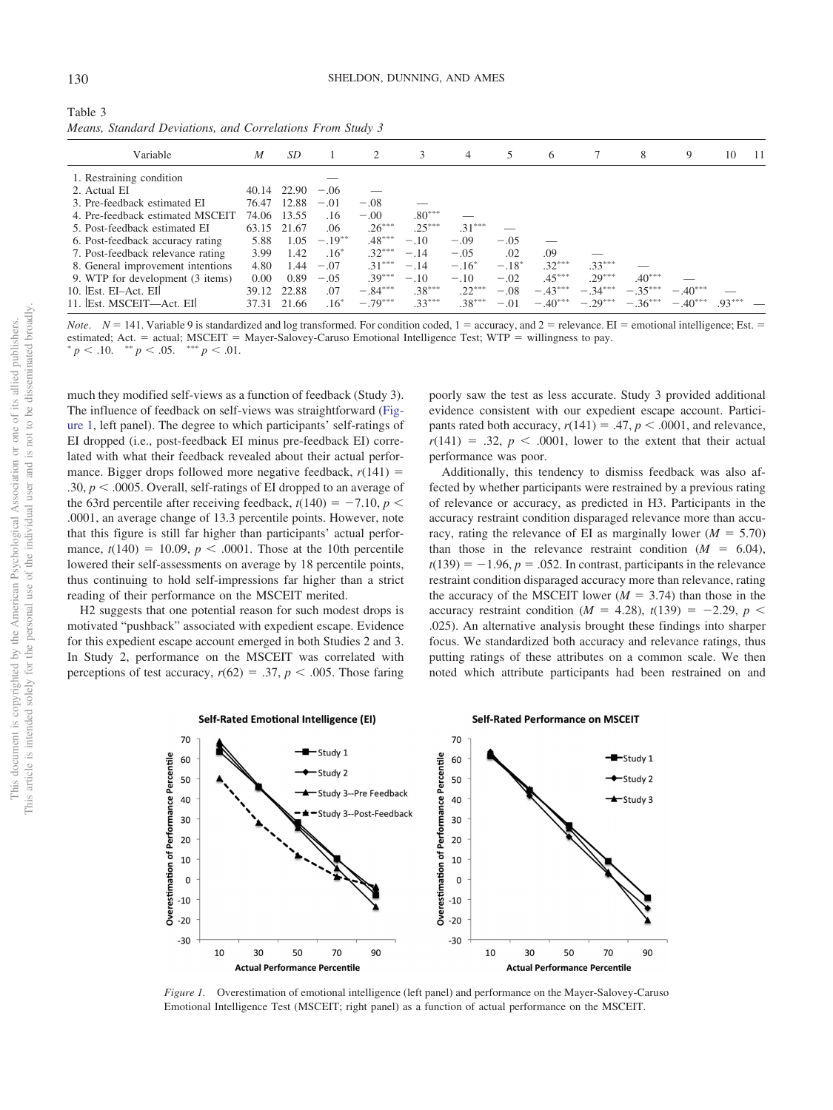<span id="page-5-0"></span>

| Table 3                                                   |  |  |  |
|-----------------------------------------------------------|--|--|--|
| Means, Standard Deviations, and Correlations From Study 3 |  |  |  |

| Variable                          | M                 | SD    |          | 2         | 3        | 4        | 5        | 6         |           | 8         | 9         | 10       | -11 |
|-----------------------------------|-------------------|-------|----------|-----------|----------|----------|----------|-----------|-----------|-----------|-----------|----------|-----|
| 1. Restraining condition          |                   |       |          |           |          |          |          |           |           |           |           |          |     |
| 2. Actual EI                      | 40.14             | 22.90 | $-.06$   |           |          |          |          |           |           |           |           |          |     |
| 3. Pre-feedback estimated EI      | 76.47             | 12.88 | $-.01$   | $-.08$    |          |          |          |           |           |           |           |          |     |
| 4. Pre-feedback estimated MSCEIT  | 74.06             | 13.55 | .16      | $-.00$    | $.80***$ |          |          |           |           |           |           |          |     |
| 5. Post-feedback estimated EI     | 63.15             | 21.67 | .06      | $.26***$  | $.25***$ | $.31***$ |          |           |           |           |           |          |     |
| 6. Post-feedback accuracy rating  | 5.88              | 1.05  | $-.19**$ | $.48***$  | $-.10$   | $-.09$   | $-.05$   |           |           |           |           |          |     |
| 7. Post-feedback relevance rating | 3.99              | 1.42  | $.16*$   | $.32***$  | $-.14$   | $-.05$   | .02      | .09       |           |           |           |          |     |
| 8. General improvement intentions | 4.80              | 1.44  | $-.07$   | $.31***$  | $-.14$   | $-.16*$  | $-.18^*$ | $.32***$  | $.33***$  |           |           |          |     |
| 9. WTP for development (3 items)  | 0.00 <sub>1</sub> | 0.89  | $-.05$   | $.39***$  | $-.10$   | $-.10$   | $-.02$   | $.45***$  | $.29***$  | $.40***$  |           |          |     |
| 10. Est. EI-Act. EI               | 39.12             | 22.88 | .07      | $-.84***$ | $.38***$ | $.22***$ | $-.08$   | $-.43***$ | $-.34***$ | $-.35***$ | $-.40***$ |          |     |
| 11. Est. MSCEIT—Act. EI           | 37.31             | 21.66 | $.16*$   | $-.79***$ | $.33***$ | $.38***$ | $-.01$   | $-.40***$ | $-.29***$ | $-.36***$ | $-.40***$ | $.93***$ |     |

*Note.*  $N = 141$ . Variable 9 is standardized and log transformed. For condition coded,  $1 =$  accuracy, and  $2 =$  relevance. EI = emotional intelligence; Est. = estimated; Act. = actual; MSCEIT = Mayer-Salovey-Caruso Emotional Intelligence Test; WTP = willingness to pay.  $p < .10$ .  $\binom{p}{k}$   $p < .05$ .  $\binom{p}{k}$   $q < .01$ .

much they modified self-views as a function of feedback (Study 3). The influence of feedback on self-views was straightforward [\(Fig](#page-5-1)[ure 1,](#page-5-1) left panel). The degree to which participants' self-ratings of EI dropped (i.e., post-feedback EI minus pre-feedback EI) correlated with what their feedback revealed about their actual performance. Bigger drops followed more negative feedback,  $r(141)$  = .30,  $p < .0005$ . Overall, self-ratings of EI dropped to an average of the 63rd percentile after receiving feedback,  $t(140) = -7.10$ ,  $p <$ .0001, an average change of 13.3 percentile points. However, note that this figure is still far higher than participants' actual performance,  $t(140) = 10.09$ ,  $p < .0001$ . Those at the 10th percentile lowered their self-assessments on average by 18 percentile points, thus continuing to hold self-impressions far higher than a strict reading of their performance on the MSCEIT merited.

H2 suggests that one potential reason for such modest drops is motivated "pushback" associated with expedient escape. Evidence for this expedient escape account emerged in both Studies 2 and 3. In Study 2, performance on the MSCEIT was correlated with perceptions of test accuracy,  $r(62) = .37$ ,  $p < .005$ . Those faring poorly saw the test as less accurate. Study 3 provided additional evidence consistent with our expedient escape account. Participants rated both accuracy,  $r(141) = .47$ ,  $p < .0001$ , and relevance,  $r(141) = .32, p < .0001$ , lower to the extent that their actual performance was poor.

Additionally, this tendency to dismiss feedback was also affected by whether participants were restrained by a previous rating of relevance or accuracy, as predicted in H3. Participants in the accuracy restraint condition disparaged relevance more than accuracy, rating the relevance of EI as marginally lower ( $M = 5.70$ ) than those in the relevance restraint condition  $(M = 6.04)$ ,  $t(139) = -1.96$ ,  $p = .052$ . In contrast, participants in the relevance restraint condition disparaged accuracy more than relevance, rating the accuracy of the MSCEIT lower  $(M = 3.74)$  than those in the accuracy restraint condition ( $M = 4.28$ ),  $t(139) = -2.29$ ,  $p <$ .025). An alternative analysis brought these findings into sharper focus. We standardized both accuracy and relevance ratings, thus putting ratings of these attributes on a common scale. We then noted which attribute participants had been restrained on and



<span id="page-5-1"></span>*Figure 1.* Overestimation of emotional intelligence (left panel) and performance on the Mayer-Salovey-Caruso Emotional Intelligence Test (MSCEIT; right panel) as a function of actual performance on the MSCEIT.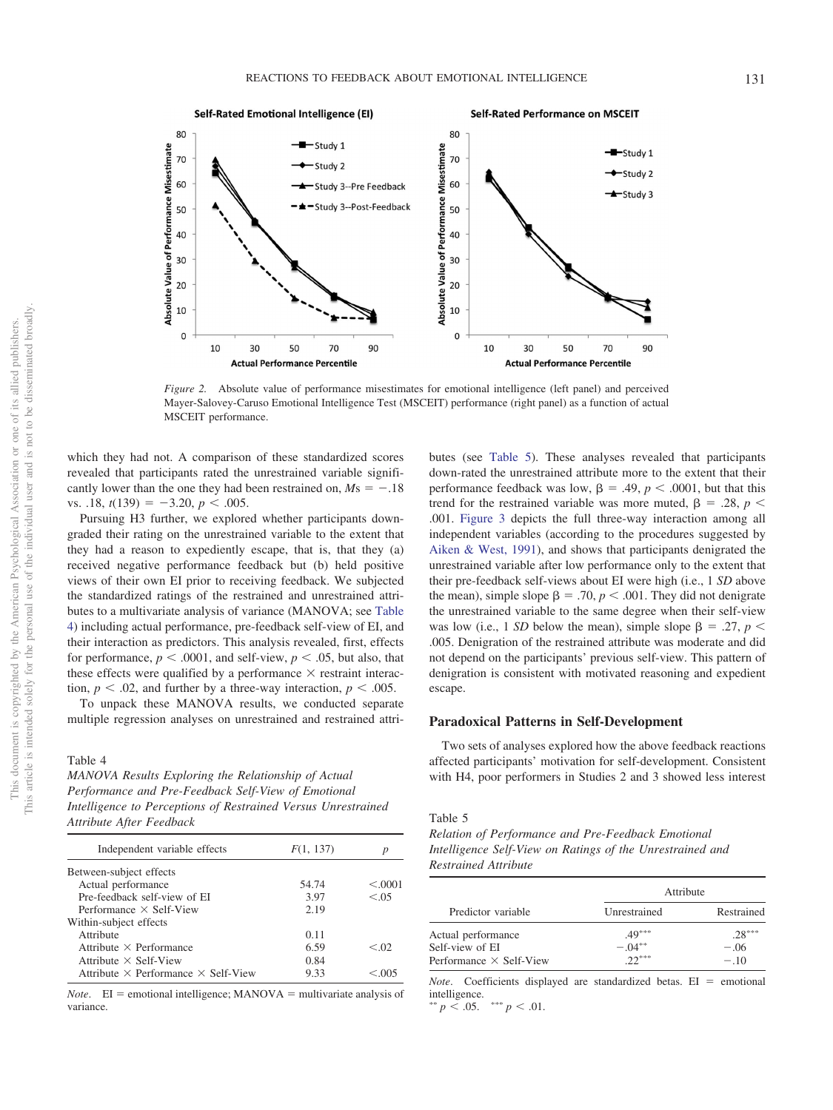

<span id="page-6-0"></span>*Figure 2.* Absolute value of performance misestimates for emotional intelligence (left panel) and perceived Mayer-Salovey-Caruso Emotional Intelligence Test (MSCEIT) performance (right panel) as a function of actual MSCEIT performance.

which they had not. A comparison of these standardized scores revealed that participants rated the unrestrained variable significantly lower than the one they had been restrained on,  $M_s = -.18$ vs. .18,  $t(139) = -3.20, p < .005$ .

Pursuing H3 further, we explored whether participants downgraded their rating on the unrestrained variable to the extent that they had a reason to expediently escape, that is, that they (a) received negative performance feedback but (b) held positive views of their own EI prior to receiving feedback. We subjected the standardized ratings of the restrained and unrestrained attributes to a multivariate analysis of variance (MANOVA; see [Table](#page-6-1) [4\)](#page-6-1) including actual performance, pre-feedback self-view of EI, and their interaction as predictors. This analysis revealed, first, effects for performance,  $p < .0001$ , and self-view,  $p < .05$ , but also, that these effects were qualified by a performance  $\times$  restraint interaction,  $p < .02$ , and further by a three-way interaction,  $p < .005$ .

To unpack these MANOVA results, we conducted separate multiple regression analyses on unrestrained and restrained attri-

### <span id="page-6-1"></span>Table 4

*MANOVA Results Exploring the Relationship of Actual Performance and Pre-Feedback Self-View of Emotional Intelligence to Perceptions of Restrained Versus Unrestrained Attribute After Feedback*

| Independent variable effects                      | F(1, 137) |         |
|---------------------------------------------------|-----------|---------|
| Between-subject effects                           |           |         |
| Actual performance                                | 54.74     | < 0.001 |
| Pre-feedback self-view of EI                      | 3.97      | < 0.05  |
| Performance $\times$ Self-View                    | 2.19      |         |
| Within-subject effects                            |           |         |
| Attribute                                         | 0.11      |         |
| Attribute $\times$ Performance                    | 6.59      | < 02    |
| Attribute $\times$ Self-View                      | 0.84      |         |
| Attribute $\times$ Performance $\times$ Self-View | 9.33      |         |

*Note.* EI = emotional intelligence;  $MANOVA =$  multivariate analysis of variance.

butes (see [Table 5\)](#page-6-2). These analyses revealed that participants down-rated the unrestrained attribute more to the extent that their performance feedback was low,  $\beta = .49$ ,  $p < .0001$ , but that this trend for the restrained variable was more muted,  $\beta = .28$ ,  $p <$ .001. [Figure 3](#page-7-0) depicts the full three-way interaction among all independent variables (according to the procedures suggested by [Aiken & West, 1991\)](#page-10-14), and shows that participants denigrated the unrestrained variable after low performance only to the extent that their pre-feedback self-views about EI were high (i.e., 1 *SD* above the mean), simple slope  $\beta = .70$ ,  $p < .001$ . They did not denigrate the unrestrained variable to the same degree when their self-view was low (i.e., 1 *SD* below the mean), simple slope  $\beta = .27$ ,  $p <$ .005. Denigration of the restrained attribute was moderate and did not depend on the participants' previous self-view. This pattern of denigration is consistent with motivated reasoning and expedient escape.

#### **Paradoxical Patterns in Self-Development**

Two sets of analyses explored how the above feedback reactions affected participants' motivation for self-development. Consistent with H4, poor performers in Studies 2 and 3 showed less interest

# <span id="page-6-2"></span>Table 5

*Relation of Performance and Pre-Feedback Emotional Intelligence Self-View on Ratings of the Unrestrained and Restrained Attribute*

|                                | Attribute    |            |  |  |  |
|--------------------------------|--------------|------------|--|--|--|
| Predictor variable             | Unrestrained | Restrained |  |  |  |
| Actual performance             | $49***$      | $.28***$   |  |  |  |
| Self-view of EI                | $-.04***$    | $-.06$     |  |  |  |
| Performance $\times$ Self-View | $22***$      | $-10$      |  |  |  |

*Note*. Coefficients displayed are standardized betas. EI = emotional intelligence.

 $p^{*}$  *p*  $\leq$  .05.  $p^{**}$  *p*  $\leq$  .01.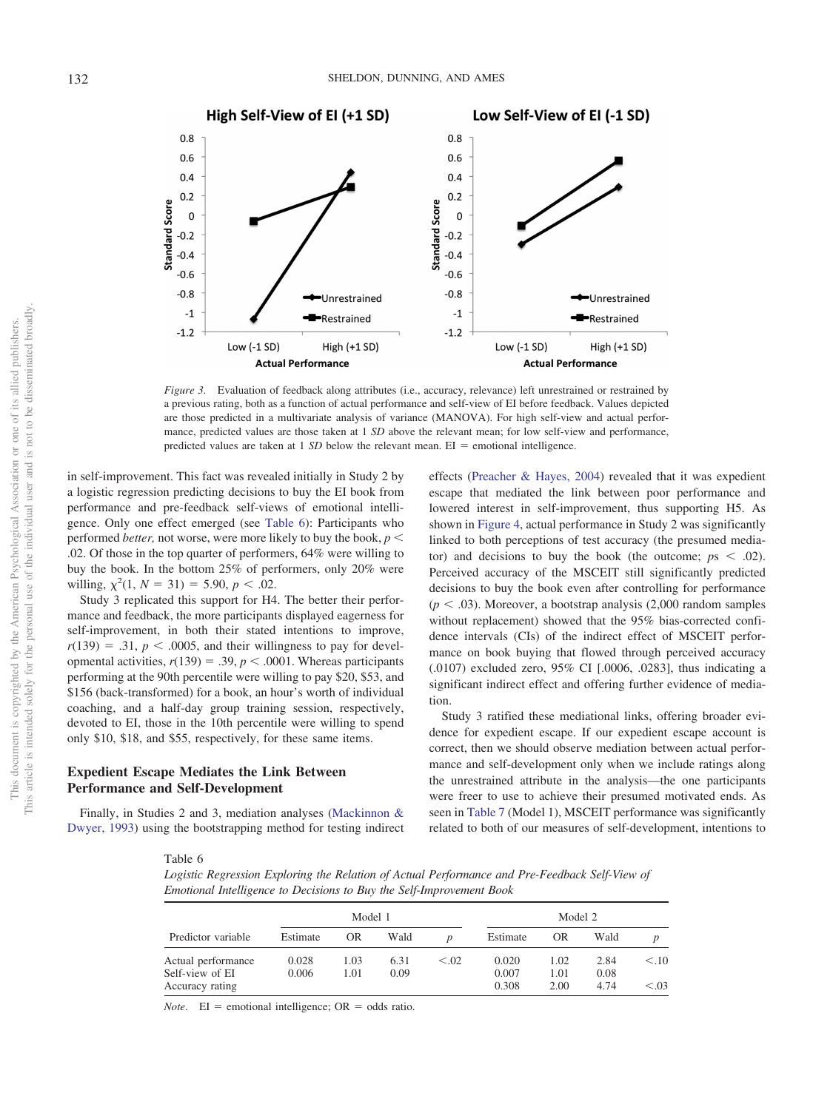

<span id="page-7-0"></span>*Figure 3.* Evaluation of feedback along attributes (i.e., accuracy, relevance) left unrestrained or restrained by a previous rating, both as a function of actual performance and self-view of EI before feedback. Values depicted are those predicted in a multivariate analysis of variance (MANOVA). For high self-view and actual performance, predicted values are those taken at 1 *SD* above the relevant mean; for low self-view and performance, predicted values are taken at 1  $SD$  below the relevant mean.  $EI$  = emotional intelligence.

in self-improvement. This fact was revealed initially in Study 2 by a logistic regression predicting decisions to buy the EI book from performance and pre-feedback self-views of emotional intelligence. Only one effect emerged (see [Table 6\)](#page-7-1): Participants who performed *better,* not worse, were more likely to buy the book, *p* .02. Of those in the top quarter of performers, 64% were willing to buy the book. In the bottom 25% of performers, only 20% were willing,  $\chi^2(1, N = 31) = 5.90, p < .02$ .

Study 3 replicated this support for H4. The better their performance and feedback, the more participants displayed eagerness for self-improvement, in both their stated intentions to improve,  $r(139) = .31, p < .0005$ , and their willingness to pay for developmental activities,  $r(139) = .39$ ,  $p < .0001$ . Whereas participants performing at the 90th percentile were willing to pay \$20, \$53, and \$156 (back-transformed) for a book, an hour's worth of individual coaching, and a half-day group training session, respectively, devoted to EI, those in the 10th percentile were willing to spend only \$10, \$18, and \$55, respectively, for these same items.

# **Expedient Escape Mediates the Link Between Performance and Self-Development**

Finally, in Studies 2 and 3, mediation analyses [\(Mackinnon &](#page-11-33) [Dwyer, 1993\)](#page-11-33) using the bootstrapping method for testing indirect

effects [\(Preacher & Hayes, 2004\)](#page-12-13) revealed that it was expedient escape that mediated the link between poor performance and lowered interest in self-improvement, thus supporting H5. As shown in [Figure 4,](#page-8-0) actual performance in Study 2 was significantly linked to both perceptions of test accuracy (the presumed mediator) and decisions to buy the book (the outcome;  $p_s < .02$ ). Perceived accuracy of the MSCEIT still significantly predicted decisions to buy the book even after controlling for performance  $(p < .03)$ . Moreover, a bootstrap analysis  $(2,000 \text{ random samples})$ without replacement) showed that the 95% bias-corrected confidence intervals (CIs) of the indirect effect of MSCEIT performance on book buying that flowed through perceived accuracy (.0107) excluded zero, 95% CI [.0006, .0283], thus indicating a significant indirect effect and offering further evidence of mediation.

Study 3 ratified these mediational links, offering broader evidence for expedient escape. If our expedient escape account is correct, then we should observe mediation between actual performance and self-development only when we include ratings along the unrestrained attribute in the analysis—the one participants were freer to use to achieve their presumed motivated ends. As seen in [Table 7](#page-9-0) (Model 1), MSCEIT performance was significantly related to both of our measures of self-development, intentions to

#### <span id="page-7-1"></span>Table 6

*Logistic Regression Exploring the Relation of Actual Performance and Pre-Feedback Self-View of Emotional Intelligence to Decisions to Buy the Self-Improvement Book*

|                                                          |                | Model 1      |              |        | Model 2                 |                      |                      |                |  |
|----------------------------------------------------------|----------------|--------------|--------------|--------|-------------------------|----------------------|----------------------|----------------|--|
| Predictor variable                                       | Estimate       | OR           | Wald         |        | Estimate                | OR                   | Wald                 |                |  |
| Actual performance<br>Self-view of EI<br>Accuracy rating | 0.028<br>0.006 | 1.03<br>1.01 | 6.31<br>0.09 | < 0.02 | 0.020<br>0.007<br>0.308 | 1.02<br>1.01<br>2.00 | 2.84<br>0.08<br>4.74 | < 10<br>< 0.03 |  |

*Note*.  $EI$  = emotional intelligence;  $OR$  = odds ratio.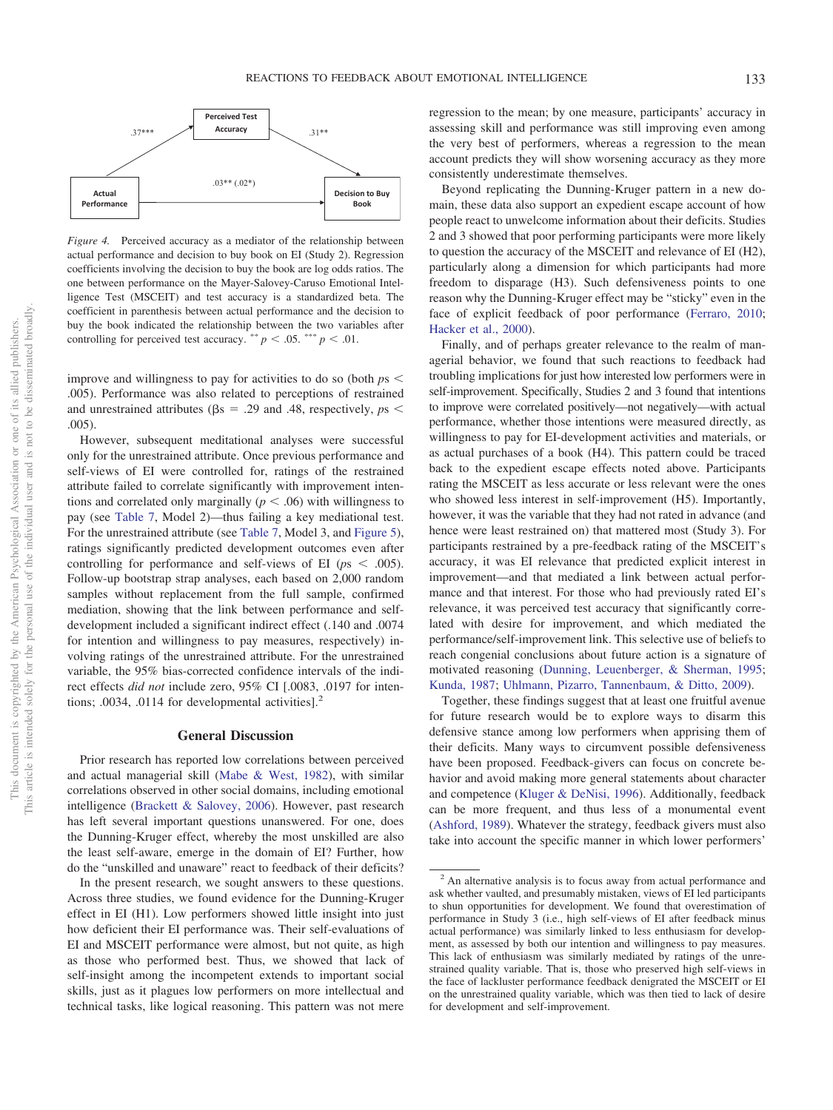

<span id="page-8-0"></span>*Figure 4.* Perceived accuracy as a mediator of the relationship between actual performance and decision to buy book on EI (Study 2). Regression coefficients involving the decision to buy the book are log odds ratios. The one between performance on the Mayer-Salovey-Caruso Emotional Intelligence Test (MSCEIT) and test accuracy is a standardized beta. The coefficient in parenthesis between actual performance and the decision to buy the book indicated the relationship between the two variables after controlling for perceived test accuracy.  $\binom{**}{p}$  < .05.  $\binom{***}{p}$  < .01.

improve and willingness to pay for activities to do so (both *p*s .005). Performance was also related to perceptions of restrained and unrestrained attributes ( $\beta$ s = .29 and .48, respectively,  $p$ s < .005).

However, subsequent meditational analyses were successful only for the unrestrained attribute. Once previous performance and self-views of EI were controlled for, ratings of the restrained attribute failed to correlate significantly with improvement intentions and correlated only marginally  $(p < .06)$  with willingness to pay (see [Table 7,](#page-9-0) Model 2)—thus failing a key mediational test. For the unrestrained attribute (see [Table 7,](#page-9-0) Model 3, and [Figure 5\)](#page-9-1), ratings significantly predicted development outcomes even after controlling for performance and self-views of EI ( $p$ s  $\lt$  .005). Follow-up bootstrap strap analyses, each based on 2,000 random samples without replacement from the full sample, confirmed mediation, showing that the link between performance and selfdevelopment included a significant indirect effect (.140 and .0074 for intention and willingness to pay measures, respectively) involving ratings of the unrestrained attribute. For the unrestrained variable, the 95% bias-corrected confidence intervals of the indirect effects *did not* include zero, 95% CI [.0083, .0197 for intentions; .0034, .0114 for developmental activities].<sup>2</sup>

#### **General Discussion**

Prior research has reported low correlations between perceived and actual managerial skill [\(Mabe & West, 1982\)](#page-11-2), with similar correlations observed in other social domains, including emotional intelligence [\(Brackett & Salovey, 2006\)](#page-10-13). However, past research has left several important questions unanswered. For one, does the Dunning-Kruger effect, whereby the most unskilled are also the least self-aware, emerge in the domain of EI? Further, how do the "unskilled and unaware" react to feedback of their deficits?

In the present research, we sought answers to these questions. Across three studies, we found evidence for the Dunning-Kruger effect in EI (H1). Low performers showed little insight into just how deficient their EI performance was. Their self-evaluations of EI and MSCEIT performance were almost, but not quite, as high as those who performed best. Thus, we showed that lack of self-insight among the incompetent extends to important social skills, just as it plagues low performers on more intellectual and technical tasks, like logical reasoning. This pattern was not mere regression to the mean; by one measure, participants' accuracy in assessing skill and performance was still improving even among the very best of performers, whereas a regression to the mean account predicts they will show worsening accuracy as they more consistently underestimate themselves.

Beyond replicating the Dunning-Kruger pattern in a new domain, these data also support an expedient escape account of how people react to unwelcome information about their deficits. Studies 2 and 3 showed that poor performing participants were more likely to question the accuracy of the MSCEIT and relevance of EI (H2), particularly along a dimension for which participants had more freedom to disparage (H3). Such defensiveness points to one reason why the Dunning-Kruger effect may be "sticky" even in the face of explicit feedback of poor performance [\(Ferraro, 2010;](#page-11-12) [Hacker et al., 2000\)](#page-11-13).

Finally, and of perhaps greater relevance to the realm of managerial behavior, we found that such reactions to feedback had troubling implications for just how interested low performers were in self-improvement. Specifically, Studies 2 and 3 found that intentions to improve were correlated positively—not negatively—with actual performance, whether those intentions were measured directly, as willingness to pay for EI-development activities and materials, or as actual purchases of a book (H4). This pattern could be traced back to the expedient escape effects noted above. Participants rating the MSCEIT as less accurate or less relevant were the ones who showed less interest in self-improvement (H5). Importantly, however, it was the variable that they had not rated in advance (and hence were least restrained on) that mattered most (Study 3). For participants restrained by a pre-feedback rating of the MSCEIT's accuracy, it was EI relevance that predicted explicit interest in improvement—and that mediated a link between actual performance and that interest. For those who had previously rated EI's relevance, it was perceived test accuracy that significantly correlated with desire for improvement, and which mediated the performance/self-improvement link. This selective use of beliefs to reach congenial conclusions about future action is a signature of motivated reasoning [\(Dunning, Leuenberger, & Sherman, 1995;](#page-11-34) [Kunda, 1987;](#page-11-35) [Uhlmann, Pizarro, Tannenbaum, & Ditto, 2009\)](#page-12-14).

Together, these findings suggest that at least one fruitful avenue for future research would be to explore ways to disarm this defensive stance among low performers when apprising them of their deficits. Many ways to circumvent possible defensiveness have been proposed. Feedback-givers can focus on concrete behavior and avoid making more general statements about character and competence [\(Kluger & DeNisi, 1996\)](#page-11-25). Additionally, feedback can be more frequent, and thus less of a monumental event [\(Ashford, 1989\)](#page-10-2). Whatever the strategy, feedback givers must also take into account the specific manner in which lower performers'

<sup>&</sup>lt;sup>2</sup> An alternative analysis is to focus away from actual performance and ask whether vaulted, and presumably mistaken, views of EI led participants to shun opportunities for development. We found that overestimation of performance in Study 3 (i.e., high self-views of EI after feedback minus actual performance) was similarly linked to less enthusiasm for development, as assessed by both our intention and willingness to pay measures. This lack of enthusiasm was similarly mediated by ratings of the unrestrained quality variable. That is, those who preserved high self-views in the face of lackluster performance feedback denigrated the MSCEIT or EI on the unrestrained quality variable, which was then tied to lack of desire for development and self-improvement.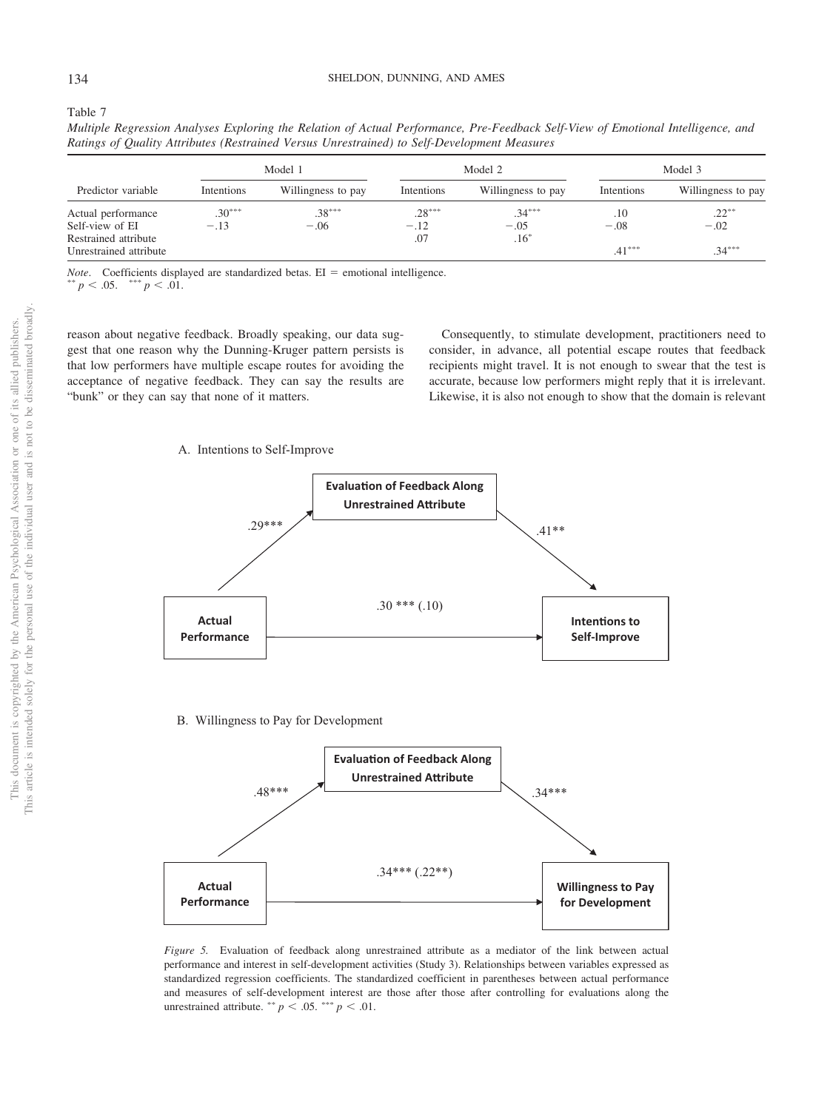<span id="page-9-0"></span>Table 7

|  |  |  | Multiple Regression Analyses Exploring the Relation of Actual Performance, Pre-Feedback Self-View of Emotional Intelligence, and |  |  |
|--|--|--|----------------------------------------------------------------------------------------------------------------------------------|--|--|
|  |  |  | Ratings of Quality Attributes (Restrained Versus Unrestrained) to Self-Development Measures                                      |  |  |

|                        |            | Model 1            |            | Model 2            | Model 3    |                    |  |
|------------------------|------------|--------------------|------------|--------------------|------------|--------------------|--|
| Predictor variable     | Intentions | Willingness to pay | Intentions | Willingness to pay | Intentions | Willingness to pay |  |
| Actual performance     | $.30***$   | $.38***$           | $.28***$   | $.34***$           | .10        | $.22***$           |  |
| Self-view of EI        | $-.13$     | $-.06$             | $-.12$     | $-.05$             | $-.08$     | $-.02$             |  |
| Restrained attribute   |            |                    | .07        | $.16*$             |            |                    |  |
| Unrestrained attribute |            |                    |            |                    | $.41***$   | $.34***$           |  |

*Note.* Coefficients displayed are standardized betas. EI = emotional intelligence.  $* p < .05$ .  $* p < .01$ .

reason about negative feedback. Broadly speaking, our data suggest that one reason why the Dunning-Kruger pattern persists is that low performers have multiple escape routes for avoiding the acceptance of negative feedback. They can say the results are "bunk" or they can say that none of it matters.

Consequently, to stimulate development, practitioners need to consider, in advance, all potential escape routes that feedback recipients might travel. It is not enough to swear that the test is accurate, because low performers might reply that it is irrelevant. Likewise, it is also not enough to show that the domain is relevant

### A. Intentions to Self-Improve



B. Willingness to Pay for Development



<span id="page-9-1"></span>*Figure 5.* Evaluation of feedback along unrestrained attribute as a mediator of the link between actual performance and interest in self-development activities (Study 3). Relationships between variables expressed as standardized regression coefficients. The standardized coefficient in parentheses between actual performance and measures of self-development interest are those after those after controlling for evaluations along the unrestrained attribute.  $\binom{m}{p}$  < .05.  $\binom{m}{p}$  < .01.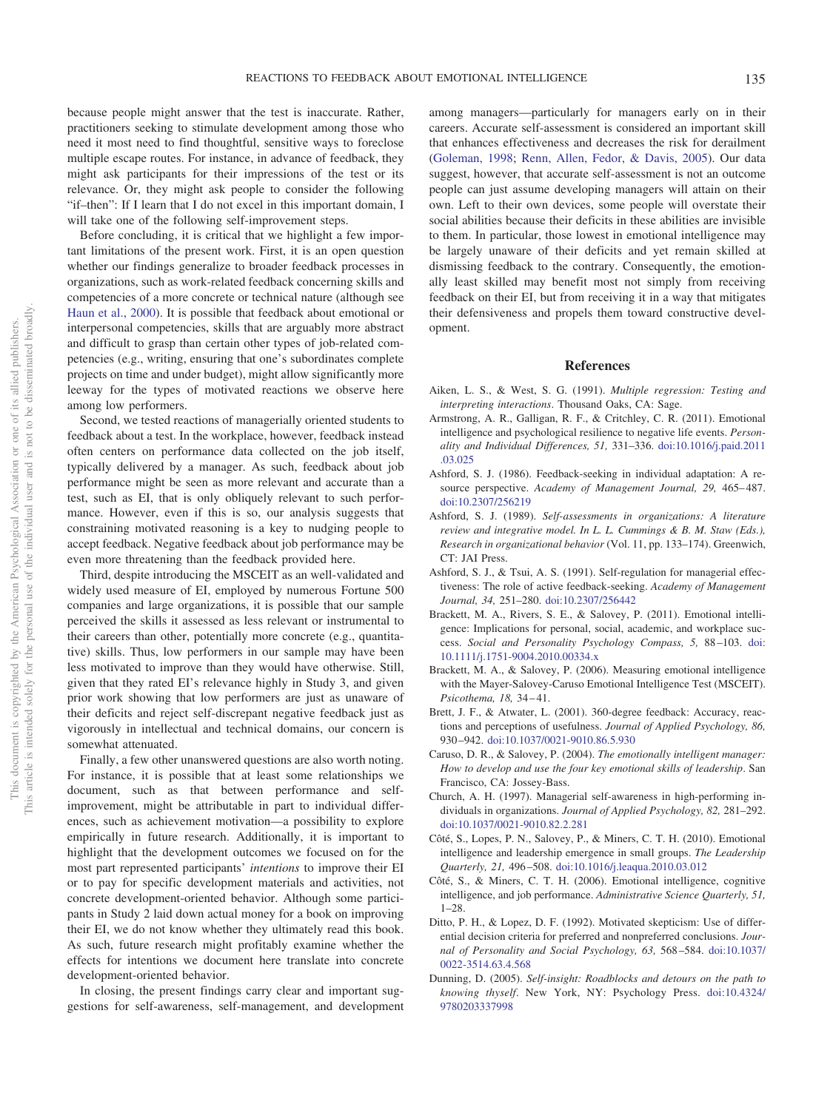<span id="page-10-1"></span>because people might answer that the test is inaccurate. Rather, practitioners seeking to stimulate development among those who need it most need to find thoughtful, sensitive ways to foreclose multiple escape routes. For instance, in advance of feedback, they might ask participants for their impressions of the test or its relevance. Or, they might ask people to consider the following "if–then": If I learn that I do not excel in this important domain, I will take one of the following self-improvement steps.

Before concluding, it is critical that we highlight a few important limitations of the present work. First, it is an open question whether our findings generalize to broader feedback processes in organizations, such as work-related feedback concerning skills and competencies of a more concrete or technical nature (although see [Haun et al., 2000\)](#page-11-9). It is possible that feedback about emotional or interpersonal competencies, skills that are arguably more abstract and difficult to grasp than certain other types of job-related competencies (e.g., writing, ensuring that one's subordinates complete projects on time and under budget), might allow significantly more leeway for the types of motivated reactions we observe here among low performers.

Second, we tested reactions of managerially oriented students to feedback about a test. In the workplace, however, feedback instead often centers on performance data collected on the job itself, typically delivered by a manager. As such, feedback about job performance might be seen as more relevant and accurate than a test, such as EI, that is only obliquely relevant to such performance. However, even if this is so, our analysis suggests that constraining motivated reasoning is a key to nudging people to accept feedback. Negative feedback about job performance may be even more threatening than the feedback provided here.

Third, despite introducing the MSCEIT as an well-validated and widely used measure of EI, employed by numerous Fortune 500 companies and large organizations, it is possible that our sample perceived the skills it assessed as less relevant or instrumental to their careers than other, potentially more concrete (e.g., quantitative) skills. Thus, low performers in our sample may have been less motivated to improve than they would have otherwise. Still, given that they rated EI's relevance highly in Study 3, and given prior work showing that low performers are just as unaware of their deficits and reject self-discrepant negative feedback just as vigorously in intellectual and technical domains, our concern is somewhat attenuated.

Finally, a few other unanswered questions are also worth noting. For instance, it is possible that at least some relationships we document, such as that between performance and selfimprovement, might be attributable in part to individual differences, such as achievement motivation—a possibility to explore empirically in future research. Additionally, it is important to highlight that the development outcomes we focused on for the most part represented participants' *intentions* to improve their EI or to pay for specific development materials and activities, not concrete development-oriented behavior. Although some participants in Study 2 laid down actual money for a book on improving their EI, we do not know whether they ultimately read this book. As such, future research might profitably examine whether the effects for intentions we document here translate into concrete development-oriented behavior.

In closing, the present findings carry clear and important suggestions for self-awareness, self-management, and development

among managers—particularly for managers early on in their careers. Accurate self-assessment is considered an important skill that enhances effectiveness and decreases the risk for derailment [\(Goleman, 1998;](#page-11-0) [Renn, Allen, Fedor, & Davis, 2005\)](#page-12-15). Our data suggest, however, that accurate self-assessment is not an outcome people can just assume developing managers will attain on their own. Left to their own devices, some people will overstate their social abilities because their deficits in these abilities are invisible to them. In particular, those lowest in emotional intelligence may be largely unaware of their deficits and yet remain skilled at dismissing feedback to the contrary. Consequently, the emotionally least skilled may benefit most not simply from receiving feedback on their EI, but from receiving it in a way that mitigates their defensiveness and propels them toward constructive development.

# **References**

- <span id="page-10-14"></span>Aiken, L. S., & West, S. G. (1991). *Multiple regression: Testing and interpreting interactions*. Thousand Oaks, CA: Sage.
- <span id="page-10-6"></span>Armstrong, A. R., Galligan, R. F., & Critchley, C. R. (2011). Emotional intelligence and psychological resilience to negative life events. *Personality and Individual Differences, 51,* 331–336. [doi:10.1016/j.paid.2011](http://dx.doi.org/10.1016/j.paid.2011.03.025) [.03.025](http://dx.doi.org/10.1016/j.paid.2011.03.025)
- <span id="page-10-10"></span>Ashford, S. J. (1986). Feedback-seeking in individual adaptation: A resource perspective. *Academy of Management Journal*, 29, 465-487. [doi:10.2307/256219](http://dx.doi.org/10.2307/256219)
- <span id="page-10-2"></span>Ashford, S. J. (1989). *Self-assessments in organizations: A literature review and integrative model. In L. L. Cummings & B. M. Staw (Eds.), Research in organizational behavior* (Vol. 11, pp. 133–174). Greenwich, CT: JAI Press.
- <span id="page-10-0"></span>Ashford, S. J., & Tsui, A. S. (1991). Self-regulation for managerial effectiveness: The role of active feedback-seeking. *Academy of Management Journal, 34,* 251–280. [doi:10.2307/256442](http://dx.doi.org/10.2307/256442)
- <span id="page-10-7"></span>Brackett, M. A., Rivers, S. E., & Salovey, P. (2011). Emotional intelligence: Implications for personal, social, academic, and workplace success. *Social and Personality Psychology Compass, 5,* 88 –103. [doi:](http://dx.doi.org/10.1111/j.1751-9004.2010.00334.x) [10.1111/j.1751-9004.2010.00334.x](http://dx.doi.org/10.1111/j.1751-9004.2010.00334.x)
- <span id="page-10-13"></span>Brackett, M. A., & Salovey, P. (2006). Measuring emotional intelligence with the Mayer-Salovey-Caruso Emotional Intelligence Test (MSCEIT). *Psicothema, 18,* 34 – 41.
- <span id="page-10-11"></span>Brett, J. F., & Atwater, L. (2001). 360-degree feedback: Accuracy, reactions and perceptions of usefulness. *Journal of Applied Psychology, 86,* 930 –942. [doi:10.1037/0021-9010.86.5.930](http://dx.doi.org/10.1037/0021-9010.86.5.930)
- <span id="page-10-5"></span>Caruso, D. R., & Salovey, P. (2004). *The emotionally intelligent manager: How to develop and use the four key emotional skills of leadership*. San Francisco, CA: Jossey-Bass.
- <span id="page-10-4"></span>Church, A. H. (1997). Managerial self-awareness in high-performing individuals in organizations. *Journal of Applied Psychology, 82,* 281–292. [doi:10.1037/0021-9010.82.2.281](http://dx.doi.org/10.1037/0021-9010.82.2.281)
- <span id="page-10-9"></span>Côté, S., Lopes, P. N., Salovey, P., & Miners, C. T. H. (2010). Emotional intelligence and leadership emergence in small groups. *The Leadership Quarterly, 21,* 496 –508. [doi:10.1016/j.leaqua.2010.03.012](http://dx.doi.org/10.1016/j.leaqua.2010.03.012)
- <span id="page-10-8"></span>Côté, S., & Miners, C. T. H. (2006). Emotional intelligence, cognitive intelligence, and job performance. *Administrative Science Quarterly, 51,* 1–28.
- <span id="page-10-12"></span>Ditto, P. H., & Lopez, D. F. (1992). Motivated skepticism: Use of differential decision criteria for preferred and nonpreferred conclusions. *Journal of Personality and Social Psychology, 63,* 568 –584. [doi:10.1037/](http://dx.doi.org/10.1037/0022-3514.63.4.568) [0022-3514.63.4.568](http://dx.doi.org/10.1037/0022-3514.63.4.568)
- <span id="page-10-3"></span>Dunning, D. (2005). *Self-insight: Roadblocks and detours on the path to knowing thyself*. New York, NY: Psychology Press. [doi:10.4324/](http://dx.doi.org/10.4324/9780203337998) [9780203337998](http://dx.doi.org/10.4324/9780203337998)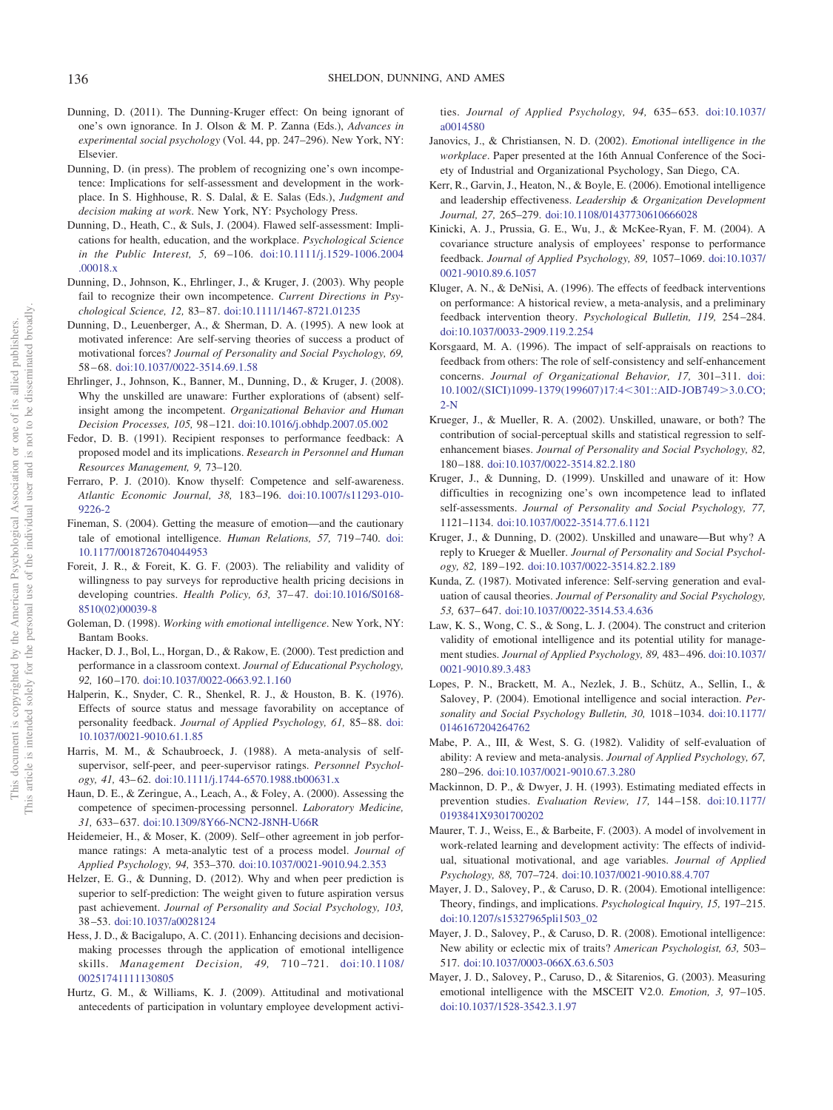- <span id="page-11-30"></span>Dunning, D. (2011). The Dunning-Kruger effect: On being ignorant of one's own ignorance. In J. Olson & M. P. Zanna (Eds.), *Advances in experimental social psychology* (Vol. 44, pp. 247–296). New York, NY: Elsevier.
- <span id="page-11-5"></span>Dunning, D. (in press). The problem of recognizing one's own incompetence: Implications for self-assessment and development in the workplace. In S. Highhouse, R. S. Dalal, & E. Salas (Eds.), *Judgment and decision making at work*. New York, NY: Psychology Press.
- <span id="page-11-1"></span>Dunning, D., Heath, C., & Suls, J. (2004). Flawed self-assessment: Implications for health, education, and the workplace. *Psychological Science in the Public Interest, 5,* 69 –106. [doi:10.1111/j.1529-1006.2004](http://dx.doi.org/10.1111/j.1529-1006.2004.00018.x) [.00018.x](http://dx.doi.org/10.1111/j.1529-1006.2004.00018.x)
- <span id="page-11-6"></span>Dunning, D., Johnson, K., Ehrlinger, J., & Kruger, J. (2003). Why people fail to recognize their own incompetence. *Current Directions in Psychological Science, 12,* 83– 87. [doi:10.1111/1467-8721.01235](http://dx.doi.org/10.1111/1467-8721.01235)
- <span id="page-11-34"></span>Dunning, D., Leuenberger, A., & Sherman, D. A. (1995). A new look at motivated inference: Are self-serving theories of success a product of motivational forces? *Journal of Personality and Social Psychology, 69,* 58 – 68. [doi:10.1037/0022-3514.69.1.58](http://dx.doi.org/10.1037/0022-3514.69.1.58)
- <span id="page-11-7"></span>Ehrlinger, J., Johnson, K., Banner, M., Dunning, D., & Kruger, J. (2008). Why the unskilled are unaware: Further explorations of (absent) selfinsight among the incompetent. *Organizational Behavior and Human Decision Processes, 105,* 98 –121. [doi:10.1016/j.obhdp.2007.05.002](http://dx.doi.org/10.1016/j.obhdp.2007.05.002)
- <span id="page-11-26"></span>Fedor, D. B. (1991). Recipient responses to performance feedback: A proposed model and its implications. *Research in Personnel and Human Resources Management, 9,* 73–120.
- <span id="page-11-12"></span>Ferraro, P. J. (2010). Know thyself: Competence and self-awareness. *Atlantic Economic Journal, 38,* 183–196. [doi:10.1007/s11293-010-](http://dx.doi.org/10.1007/s11293-010-9226-2) [9226-2](http://dx.doi.org/10.1007/s11293-010-9226-2)
- <span id="page-11-15"></span>Fineman, S. (2004). Getting the measure of emotion—and the cautionary tale of emotional intelligence. *Human Relations, 57,* 719 –740. [doi:](http://dx.doi.org/10.1177/0018726704044953) [10.1177/0018726704044953](http://dx.doi.org/10.1177/0018726704044953)
- <span id="page-11-32"></span>Foreit, J. R., & Foreit, K. G. F. (2003). The reliability and validity of willingness to pay surveys for reproductive health pricing decisions in developing countries. *Health Policy*, 63, 37-47. [doi:10.1016/S0168-](http://dx.doi.org/10.1016/S0168-8510%2802%2900039-8) [8510\(02\)00039-8](http://dx.doi.org/10.1016/S0168-8510%2802%2900039-8)
- <span id="page-11-0"></span>Goleman, D. (1998). *Working with emotional intelligence*. New York, NY: Bantam Books.
- <span id="page-11-13"></span>Hacker, D. J., Bol, L., Horgan, D., & Rakow, E. (2000). Test prediction and performance in a classroom context. *Journal of Educational Psychology, 92,* 160 –170. [doi:10.1037/0022-0663.92.1.160](http://dx.doi.org/10.1037/0022-0663.92.1.160)
- <span id="page-11-23"></span>Halperin, K., Snyder, C. R., Shenkel, R. J., & Houston, B. K. (1976). Effects of source status and message favorability on acceptance of personality feedback. *Journal of Applied Psychology, 61,* 85– 88. [doi:](http://dx.doi.org/10.1037/0021-9010.61.1.85) [10.1037/0021-9010.61.1.85](http://dx.doi.org/10.1037/0021-9010.61.1.85)
- <span id="page-11-3"></span>Harris, M. M., & Schaubroeck, J. (1988). A meta-analysis of selfsupervisor, self-peer, and peer-supervisor ratings. *Personnel Psychology, 41,* 43– 62. [doi:10.1111/j.1744-6570.1988.tb00631.x](http://dx.doi.org/10.1111/j.1744-6570.1988.tb00631.x)
- <span id="page-11-9"></span>Haun, D. E., & Zeringue, A., Leach, A., & Foley, A. (2000). Assessing the competence of specimen-processing personnel. *Laboratory Medicine, 31,* 633– 637. [doi:10.1309/8Y66-NCN2-J8NH-U66R](http://dx.doi.org/10.1309/8Y66-NCN2-J8NH-U66R)
- <span id="page-11-4"></span>Heidemeier, H., & Moser, K. (2009). Self– other agreement in job performance ratings: A meta-analytic test of a process model. *Journal of Applied Psychology, 94,* 353–370. [doi:10.1037/0021-9010.94.2.353](http://dx.doi.org/10.1037/0021-9010.94.2.353)
- <span id="page-11-14"></span>Helzer, E. G., & Dunning, D. (2012). Why and when peer prediction is superior to self-prediction: The weight given to future aspiration versus past achievement. *Journal of Personality and Social Psychology, 103,* 38 –53. [doi:10.1037/a0028124](http://dx.doi.org/10.1037/a0028124)
- <span id="page-11-17"></span>Hess, J. D., & Bacigalupo, A. C. (2011). Enhancing decisions and decisionmaking processes through the application of emotional intelligence skills. *Management Decision, 49,* 710 –721. [doi:10.1108/](http://dx.doi.org/10.1108/00251741111130805) [00251741111130805](http://dx.doi.org/10.1108/00251741111130805)
- <span id="page-11-31"></span>Hurtz, G. M., & Williams, K. J. (2009). Attitudinal and motivational antecedents of participation in voluntary employee development activi-

ties. *Journal of Applied Psychology, 94,* 635– 653. [doi:10.1037/](http://dx.doi.org/10.1037/a0014580) [a0014580](http://dx.doi.org/10.1037/a0014580)

- <span id="page-11-20"></span>Janovics, J., & Christiansen, N. D. (2002). *Emotional intelligence in the workplace*. Paper presented at the 16th Annual Conference of the Society of Industrial and Organizational Psychology, San Diego, CA.
- <span id="page-11-21"></span>Kerr, R., Garvin, J., Heaton, N., & Boyle, E. (2006). Emotional intelligence and leadership effectiveness. *Leadership & Organization Development Journal, 27,* 265–279. [doi:10.1108/01437730610666028](http://dx.doi.org/10.1108/01437730610666028)
- <span id="page-11-27"></span>Kinicki, A. J., Prussia, G. E., Wu, J., & McKee-Ryan, F. M. (2004). A covariance structure analysis of employees' response to performance feedback. *Journal of Applied Psychology, 89,* 1057–1069. [doi:10.1037/](http://dx.doi.org/10.1037/0021-9010.89.6.1057) [0021-9010.89.6.1057](http://dx.doi.org/10.1037/0021-9010.89.6.1057)
- <span id="page-11-25"></span>Kluger, A. N., & DeNisi, A. (1996). The effects of feedback interventions on performance: A historical review, a meta-analysis, and a preliminary feedback intervention theory. *Psychological Bulletin, 119,* 254 –284. [doi:10.1037/0033-2909.119.2.254](http://dx.doi.org/10.1037/0033-2909.119.2.254)
- <span id="page-11-24"></span>Korsgaard, M. A. (1996). The impact of self-appraisals on reactions to feedback from others: The role of self-consistency and self-enhancement concerns. *Journal of Organizational Behavior, 17,* 301–311. [doi:](http://dx.doi.org/10.1002/%28SICI%291099-1379%28199607%2917:4%3C301::AID-JOB749%3E3.0.CO%3B2-N) [10.1002/\(SICI\)1099-1379\(199607\)17:4](http://dx.doi.org/10.1002/%28SICI%291099-1379%28199607%2917:4%3C301::AID-JOB749%3E3.0.CO%3B2-N)<301::AID-JOB749>3.0.CO; [2-N](http://dx.doi.org/10.1002/%28SICI%291099-1379%28199607%2917:4%3C301::AID-JOB749%3E3.0.CO%3B2-N)
- <span id="page-11-10"></span>Krueger, J., & Mueller, R. A. (2002). Unskilled, unaware, or both? The contribution of social-perceptual skills and statistical regression to selfenhancement biases. *Journal of Personality and Social Psychology, 82,* 180 –188. [doi:10.1037/0022-3514.82.2.180](http://dx.doi.org/10.1037/0022-3514.82.2.180)
- <span id="page-11-8"></span>Kruger, J., & Dunning, D. (1999). Unskilled and unaware of it: How difficulties in recognizing one's own incompetence lead to inflated self-assessments. *Journal of Personality and Social Psychology, 77,* 1121–1134. [doi:10.1037/0022-3514.77.6.1121](http://dx.doi.org/10.1037/0022-3514.77.6.1121)
- <span id="page-11-11"></span>Kruger, J., & Dunning, D. (2002). Unskilled and unaware—But why? A reply to Krueger & Mueller. *Journal of Personality and Social Psychology, 82,* 189 –192. [doi:10.1037/0022-3514.82.2.189](http://dx.doi.org/10.1037/0022-3514.82.2.189)
- <span id="page-11-35"></span>Kunda, Z. (1987). Motivated inference: Self-serving generation and evaluation of causal theories. *Journal of Personality and Social Psychology, 53,* 637– 647. [doi:10.1037/0022-3514.53.4.636](http://dx.doi.org/10.1037/0022-3514.53.4.636)
- <span id="page-11-19"></span>Law, K. S., Wong, C. S., & Song, L. J. (2004). The construct and criterion validity of emotional intelligence and its potential utility for management studies. *Journal of Applied Psychology, 89,* 483– 496. [doi:10.1037/](http://dx.doi.org/10.1037/0021-9010.89.3.483) [0021-9010.89.3.483](http://dx.doi.org/10.1037/0021-9010.89.3.483)
- <span id="page-11-18"></span>Lopes, P. N., Brackett, M. A., Nezlek, J. B., Schütz, A., Sellin, I., & Salovey, P. (2004). Emotional intelligence and social interaction. *Personality and Social Psychology Bulletin, 30,* 1018 –1034. [doi:10.1177/](http://dx.doi.org/10.1177/0146167204264762) [0146167204264762](http://dx.doi.org/10.1177/0146167204264762)
- <span id="page-11-2"></span>Mabe, P. A., III, & West, S. G. (1982). Validity of self-evaluation of ability: A review and meta-analysis. *Journal of Applied Psychology, 67,* 280 –296. [doi:10.1037/0021-9010.67.3.280](http://dx.doi.org/10.1037/0021-9010.67.3.280)
- <span id="page-11-33"></span>Mackinnon, D. P., & Dwyer, J. H. (1993). Estimating mediated effects in prevention studies. *Evaluation Review, 17,* 144 –158. [doi:10.1177/](http://dx.doi.org/10.1177/0193841X9301700202) [0193841X9301700202](http://dx.doi.org/10.1177/0193841X9301700202)
- <span id="page-11-22"></span>Maurer, T. J., Weiss, E., & Barbeite, F. (2003). A model of involvement in work-related learning and development activity: The effects of individual, situational motivational, and age variables. *Journal of Applied Psychology, 88,* 707–724. [doi:10.1037/0021-9010.88.4.707](http://dx.doi.org/10.1037/0021-9010.88.4.707)
- <span id="page-11-16"></span>Mayer, J. D., Salovey, P., & Caruso, D. R. (2004). Emotional intelligence: Theory, findings, and implications. *Psychological Inquiry, 15,* 197–215. [doi:10.1207/s15327965pli1503\\_02](http://dx.doi.org/10.1207/s15327965pli1503_02)
- <span id="page-11-29"></span>Mayer, J. D., Salovey, P., & Caruso, D. R. (2008). Emotional intelligence: New ability or eclectic mix of traits? *American Psychologist, 63,* 503– 517. [doi:10.1037/0003-066X.63.6.503](http://dx.doi.org/10.1037/0003-066X.63.6.503)
- <span id="page-11-28"></span>Mayer, J. D., Salovey, P., Caruso, D., & Sitarenios, G. (2003). Measuring emotional intelligence with the MSCEIT V2.0. *Emotion, 3,* 97–105. [doi:10.1037/1528-3542.3.1.97](http://dx.doi.org/10.1037/1528-3542.3.1.97)